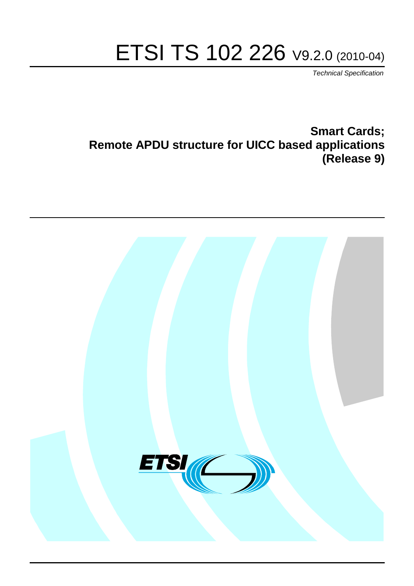# ETSI TS 102 226 V9.2.0 (2010-04)

*Technical Specification*

**Smart Cards; Remote APDU structure for UICC based applications (Release 9)**

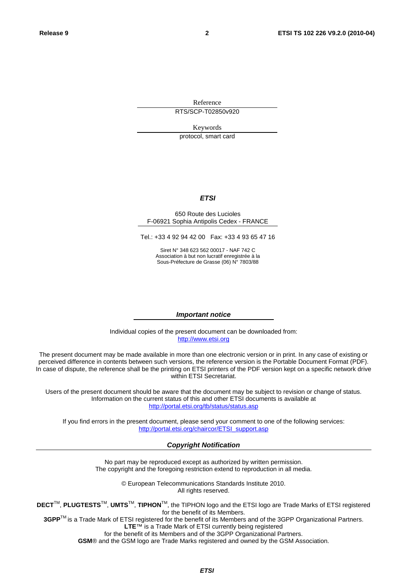Reference RTS/SCP-T02850v920

Keywords

protocol, smart card

#### *ETSI*

#### 650 Route des Lucioles F-06921 Sophia Antipolis Cedex - FRANCE

Tel.: +33 4 92 94 42 00 Fax: +33 4 93 65 47 16

Siret N° 348 623 562 00017 - NAF 742 C Association à but non lucratif enregistrée à la Sous-Préfecture de Grasse (06) N° 7803/88

#### *Important notice*

Individual copies of the present document can be downloaded from: [http://www.etsi.org](http://www.etsi.org/)

The present document may be made available in more than one electronic version or in print. In any case of existing or perceived difference in contents between such versions, the reference version is the Portable Document Format (PDF). In case of dispute, the reference shall be the printing on ETSI printers of the PDF version kept on a specific network drive within ETSI Secretariat.

Users of the present document should be aware that the document may be subject to revision or change of status. Information on the current status of this and other ETSI documents is available at <http://portal.etsi.org/tb/status/status.asp>

If you find errors in the present document, please send your comment to one of the following services: [http://portal.etsi.org/chaircor/ETSI\\_support.asp](http://portal.etsi.org/chaircor/ETSI_support.asp)

#### *Copyright Notification*

No part may be reproduced except as authorized by written permission. The copyright and the foregoing restriction extend to reproduction in all media.

> © European Telecommunications Standards Institute 2010. All rights reserved.

**DECT**TM, **PLUGTESTS**TM, **UMTS**TM, **TIPHON**TM, the TIPHON logo and the ETSI logo are Trade Marks of ETSI registered for the benefit of its Members.

**3GPP**TM is a Trade Mark of ETSI registered for the benefit of its Members and of the 3GPP Organizational Partners. **LTE**™ is a Trade Mark of ETSI currently being registered

for the benefit of its Members and of the 3GPP Organizational Partners.

**GSM**® and the GSM logo are Trade Marks registered and owned by the GSM Association.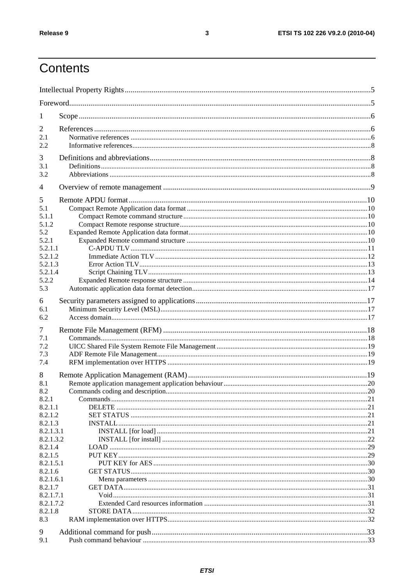### Contents

| 1                  |  |
|--------------------|--|
| 2                  |  |
| 2.1                |  |
| 2.2                |  |
| 3                  |  |
| 3.1                |  |
| 3.2                |  |
| 4                  |  |
|                    |  |
| 5                  |  |
| 5.1                |  |
| 5.1.1<br>5.1.2     |  |
| 5.2                |  |
| 5.2.1              |  |
| 5.2.1.1            |  |
| 5.2.1.2            |  |
| 5.2.1.3            |  |
| 5.2.1.4            |  |
| 5.2.2              |  |
| 5.3                |  |
|                    |  |
| 6                  |  |
| 6.1                |  |
| 6.2                |  |
| 7                  |  |
| 7.1                |  |
| 7.2                |  |
| 7.3                |  |
| 7.4                |  |
| 8                  |  |
| 8.1                |  |
| 8.2                |  |
| 8.2.1              |  |
| 8.2.1.1            |  |
| 8.2.1.2            |  |
| 8.2.1.3            |  |
| 8.2.1.3.1          |  |
| 8.2.1.3.2          |  |
| 8.2.1.4<br>8.2.1.5 |  |
| 8.2.1.5.1          |  |
| 8.2.1.6            |  |
| 8.2.1.6.1          |  |
| 8.2.1.7            |  |
| 8.2.1.7.1          |  |
| 8.2.1.7.2          |  |
| 8.2.1.8            |  |
| 8.3                |  |
| 9                  |  |
| 9.1                |  |
|                    |  |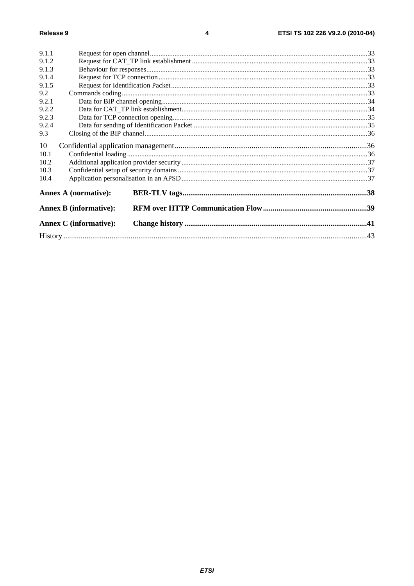| 9.1.1 |                               |  |  |
|-------|-------------------------------|--|--|
| 9.1.2 |                               |  |  |
| 9.1.3 |                               |  |  |
| 9.1.4 |                               |  |  |
| 9.1.5 |                               |  |  |
| 9.2   |                               |  |  |
| 9.2.1 |                               |  |  |
| 9.2.2 |                               |  |  |
| 9.2.3 |                               |  |  |
| 9.2.4 |                               |  |  |
| 9.3   |                               |  |  |
| 10    |                               |  |  |
| 10.1  |                               |  |  |
| 10.2  |                               |  |  |
| 10.3  |                               |  |  |
| 10.4  |                               |  |  |
|       | <b>Annex A (normative):</b>   |  |  |
|       | <b>Annex B</b> (informative): |  |  |
|       | <b>Annex C</b> (informative): |  |  |
|       |                               |  |  |
|       |                               |  |  |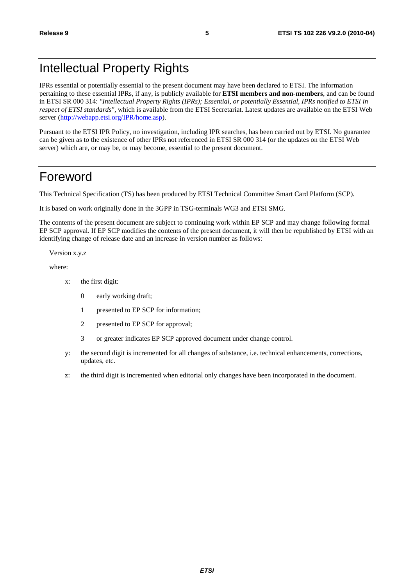### Intellectual Property Rights

IPRs essential or potentially essential to the present document may have been declared to ETSI. The information pertaining to these essential IPRs, if any, is publicly available for **ETSI members and non-members**, and can be found in ETSI SR 000 314: *"Intellectual Property Rights (IPRs); Essential, or potentially Essential, IPRs notified to ETSI in respect of ETSI standards"*, which is available from the ETSI Secretariat. Latest updates are available on the ETSI Web server [\(http://webapp.etsi.org/IPR/home.asp](http://webapp.etsi.org/IPR/home.asp)).

Pursuant to the ETSI IPR Policy, no investigation, including IPR searches, has been carried out by ETSI. No guarantee can be given as to the existence of other IPRs not referenced in ETSI SR 000 314 (or the updates on the ETSI Web server) which are, or may be, or may become, essential to the present document.

### Foreword

This Technical Specification (TS) has been produced by ETSI Technical Committee Smart Card Platform (SCP).

It is based on work originally done in the 3GPP in TSG-terminals WG3 and ETSI SMG.

The contents of the present document are subject to continuing work within EP SCP and may change following formal EP SCP approval. If EP SCP modifies the contents of the present document, it will then be republished by ETSI with an identifying change of release date and an increase in version number as follows:

Version x.y.z

where:

- x: the first digit:
	- 0 early working draft;
	- 1 presented to EP SCP for information;
	- 2 presented to EP SCP for approval;
	- 3 or greater indicates EP SCP approved document under change control.
- y: the second digit is incremented for all changes of substance, i.e. technical enhancements, corrections, updates, etc.
- z: the third digit is incremented when editorial only changes have been incorporated in the document.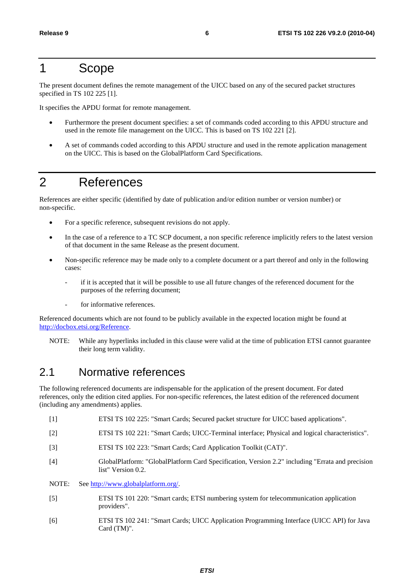### 1 Scope

The present document defines the remote management of the UICC based on any of the secured packet structures specified in TS 102 225 [1].

It specifies the APDU format for remote management.

- Furthermore the present document specifies: a set of commands coded according to this APDU structure and used in the remote file management on the UICC. This is based on TS 102 221 [2].
- A set of commands coded according to this APDU structure and used in the remote application management on the UICC. This is based on the GlobalPlatform Card Specifications.

### 2 References

References are either specific (identified by date of publication and/or edition number or version number) or non-specific.

- For a specific reference, subsequent revisions do not apply.
- In the case of a reference to a TC SCP document, a non specific reference implicitly refers to the latest version of that document in the same Release as the present document.
- Non-specific reference may be made only to a complete document or a part thereof and only in the following cases:
	- if it is accepted that it will be possible to use all future changes of the referenced document for the purposes of the referring document;
	- for informative references.

Referenced documents which are not found to be publicly available in the expected location might be found at [http://docbox.etsi.org/Reference.](http://docbox.etsi.org/Reference)

NOTE: While any hyperlinks included in this clause were valid at the time of publication ETSI cannot guarantee their long term validity.

### 2.1 Normative references

The following referenced documents are indispensable for the application of the present document. For dated references, only the edition cited applies. For non-specific references, the latest edition of the referenced document (including any amendments) applies.

- [1] ETSI TS 102 225: "Smart Cards; Secured packet structure for UICC based applications".
- [2] ETSI TS 102 221: "Smart Cards; UICC-Terminal interface; Physical and logical characteristics".
- [3] ETSI TS 102 223: "Smart Cards; Card Application Toolkit (CAT)".
- [4] GlobalPlatform: "GlobalPlatform Card Specification, Version 2.2" including "Errata and precision list" Version 0.2.
- NOTE: See<http://www.globalplatform.org/>.
- [5] ETSI TS 101 220: "Smart cards; ETSI numbering system for telecommunication application providers".
- [6] ETSI TS 102 241: "Smart Cards; UICC Application Programming Interface (UICC API) for Java Card (TM)".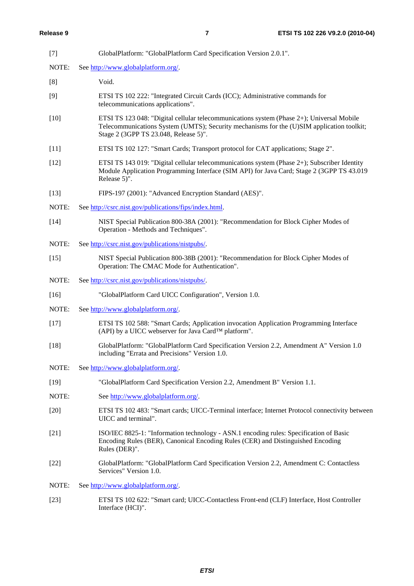| $[7]$  | GlobalPlatform: "GlobalPlatform Card Specification Version 2.0.1".                                                                                                                                                              |
|--------|---------------------------------------------------------------------------------------------------------------------------------------------------------------------------------------------------------------------------------|
| NOTE:  | See http://www.globalplatform.org/.                                                                                                                                                                                             |
| [8]    | Void.                                                                                                                                                                                                                           |
| [9]    | ETSI TS 102 222: "Integrated Circuit Cards (ICC); Administrative commands for<br>telecommunications applications".                                                                                                              |
| $[10]$ | ETSI TS 123 048: "Digital cellular telecommunications system (Phase 2+); Universal Mobile<br>Telecommunications System (UMTS); Security mechanisms for the (U)SIM application toolkit;<br>Stage 2 (3GPP TS 23.048, Release 5)". |
| $[11]$ | ETSI TS 102 127: "Smart Cards; Transport protocol for CAT applications; Stage 2".                                                                                                                                               |
| $[12]$ | ETSI TS 143 019: "Digital cellular telecommunications system (Phase 2+); Subscriber Identity<br>Module Application Programming Interface (SIM API) for Java Card; Stage 2 (3GPP TS 43.019<br>Release 5)".                       |
| $[13]$ | FIPS-197 (2001): "Advanced Encryption Standard (AES)".                                                                                                                                                                          |
| NOTE:  | See http://csrc.nist.gov/publications/fips/index.html.                                                                                                                                                                          |
| $[14]$ | NIST Special Publication 800-38A (2001): "Recommendation for Block Cipher Modes of<br>Operation - Methods and Techniques".                                                                                                      |
| NOTE:  | See http://csrc.nist.gov/publications/nistpubs/.                                                                                                                                                                                |
| $[15]$ | NIST Special Publication 800-38B (2001): "Recommendation for Block Cipher Modes of<br>Operation: The CMAC Mode for Authentication".                                                                                             |
| NOTE:  | See http://csrc.nist.gov/publications/nistpubs/.                                                                                                                                                                                |
| $[16]$ | "GlobalPlatform Card UICC Configuration", Version 1.0.                                                                                                                                                                          |
| NOTE:  | See http://www.globalplatform.org/.                                                                                                                                                                                             |
| $[17]$ | ETSI TS 102 588: "Smart Cards; Application invocation Application Programming Interface<br>(API) by a UICC webserver for Java Card™ platform".                                                                                  |
| $[18]$ | GlobalPlatform: "GlobalPlatform Card Specification Version 2.2, Amendment A" Version 1.0<br>including "Errata and Precisions" Version 1.0.                                                                                      |
| NOTE:  | See http://www.globalplatform.org/.                                                                                                                                                                                             |
| $[19]$ | "GlobalPlatform Card Specification Version 2.2, Amendment B" Version 1.1.                                                                                                                                                       |
| NOTE:  | See http://www.globalplatform.org/.                                                                                                                                                                                             |
| $[20]$ | ETSI TS 102 483: "Smart cards; UICC-Terminal interface; Internet Protocol connectivity between<br>UICC and terminal".                                                                                                           |
| $[21]$ | ISO/IEC 8825-1: "Information technology - ASN.1 encoding rules: Specification of Basic<br>Encoding Rules (BER), Canonical Encoding Rules (CER) and Distinguished Encoding<br>Rules (DER)".                                      |
| $[22]$ | GlobalPlatform: "GlobalPlatform Card Specification Version 2.2, Amendment C: Contactless<br>Services" Version 1.0.                                                                                                              |
| NOTE:  | See http://www.globalplatform.org/.                                                                                                                                                                                             |
| $[23]$ | ETSI TS 102 622: "Smart card; UICC-Contactless Front-end (CLF) Interface, Host Controller<br>Interface (HCI)".                                                                                                                  |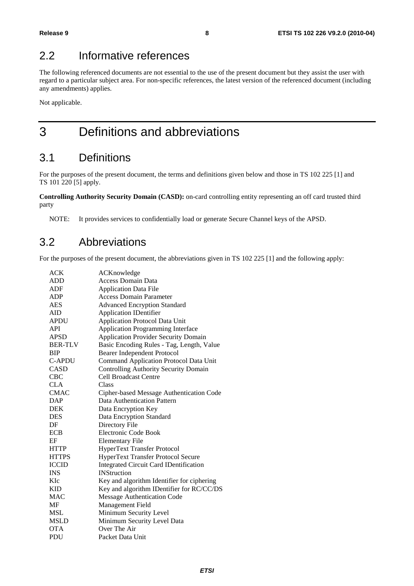### 2.2 Informative references

The following referenced documents are not essential to the use of the present document but they assist the user with regard to a particular subject area. For non-specific references, the latest version of the referenced document (including any amendments) applies.

Not applicable.

### 3 Definitions and abbreviations

### 3.1 Definitions

For the purposes of the present document, the terms and definitions given below and those in TS 102 225 [1] and TS 101 220 [5] apply.

**Controlling Authority Security Domain (CASD):** on-card controlling entity representing an off card trusted third party

NOTE: It provides services to confidentially load or generate Secure Channel keys of the APSD.

### 3.2 Abbreviations

For the purposes of the present document, the abbreviations given in TS 102 225 [1] and the following apply:

| ACK            | ACKnowledge                                   |
|----------------|-----------------------------------------------|
| <b>ADD</b>     | <b>Access Domain Data</b>                     |
| ADF            | <b>Application Data File</b>                  |
| ADP            | <b>Access Domain Parameter</b>                |
| <b>AES</b>     | <b>Advanced Encryption Standard</b>           |
| AID            | <b>Application IDentifier</b>                 |
| <b>APDU</b>    | <b>Application Protocol Data Unit</b>         |
| <b>API</b>     | <b>Application Programming Interface</b>      |
| <b>APSD</b>    | <b>Application Provider Security Domain</b>   |
| <b>BER-TLV</b> | Basic Encoding Rules - Tag, Length, Value     |
| <b>BIP</b>     | <b>Bearer Independent Protocol</b>            |
| <b>C-APDU</b>  | <b>Command Application Protocol Data Unit</b> |
| <b>CASD</b>    | <b>Controlling Authority Security Domain</b>  |
| <b>CBC</b>     | <b>Cell Broadcast Centre</b>                  |
| <b>CLA</b>     | Class                                         |
| <b>CMAC</b>    | Cipher-based Message Authentication Code      |
| DAP            | Data Authentication Pattern                   |
| <b>DEK</b>     | Data Encryption Key                           |
| <b>DES</b>     | Data Encryption Standard                      |
| DF             | Directory File                                |
| <b>ECB</b>     | Electronic Code Book                          |
| EF             | <b>Elementary File</b>                        |
| <b>HTTP</b>    | <b>HyperText Transfer Protocol</b>            |
| <b>HTTPS</b>   | HyperText Transfer Protocol Secure            |
| <b>ICCID</b>   | Integrated Circuit Card IDentification        |
| <b>INS</b>     | <b>INStruction</b>                            |
| KIc            | Key and algorithm Identifier for ciphering    |
| <b>KID</b>     | Key and algorithm IDentifier for RC/CC/DS     |
| <b>MAC</b>     | <b>Message Authentication Code</b>            |
| MF             | Management Field                              |
| MSL            | Minimum Security Level                        |
| <b>MSLD</b>    | Minimum Security Level Data                   |
| <b>OTA</b>     | Over The Air                                  |
| PDU            | Packet Data Unit                              |
|                |                                               |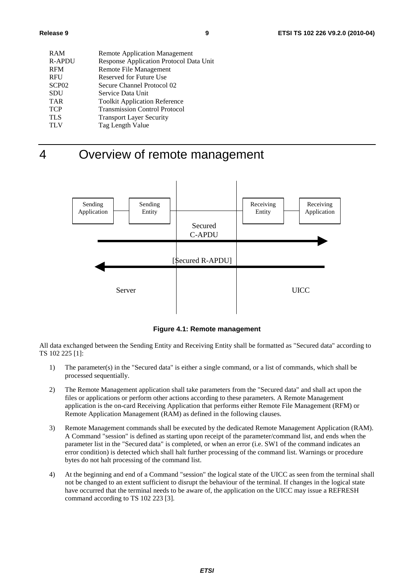| <b>RAM</b>        | <b>Remote Application Management</b>    |
|-------------------|-----------------------------------------|
| <b>R-APDU</b>     | Response Application Protocol Data Unit |
| <b>RFM</b>        | Remote File Management                  |
| <b>RFU</b>        | Reserved for Future Use                 |
| SCP <sub>02</sub> | Secure Channel Protocol 02              |
| <b>SDU</b>        | Service Data Unit                       |
| <b>TAR</b>        | <b>Toolkit Application Reference</b>    |
| <b>TCP</b>        | <b>Transmission Control Protocol</b>    |
| <b>TLS</b>        | <b>Transport Layer Security</b>         |
| <b>TLV</b>        | Tag Length Value                        |
|                   |                                         |

4 Overview of remote management



**Figure 4.1: Remote management** 

All data exchanged between the Sending Entity and Receiving Entity shall be formatted as "Secured data" according to TS 102 225 [1]:

- 1) The parameter(s) in the "Secured data" is either a single command, or a list of commands, which shall be processed sequentially.
- 2) The Remote Management application shall take parameters from the "Secured data" and shall act upon the files or applications or perform other actions according to these parameters. A Remote Management application is the on-card Receiving Application that performs either Remote File Management (RFM) or Remote Application Management (RAM) as defined in the following clauses.
- 3) Remote Management commands shall be executed by the dedicated Remote Management Application (RAM). A Command "session" is defined as starting upon receipt of the parameter/command list, and ends when the parameter list in the "Secured data" is completed, or when an error (i.e. SW1 of the command indicates an error condition) is detected which shall halt further processing of the command list. Warnings or procedure bytes do not halt processing of the command list.
- 4) At the beginning and end of a Command "session" the logical state of the UICC as seen from the terminal shall not be changed to an extent sufficient to disrupt the behaviour of the terminal. If changes in the logical state have occurred that the terminal needs to be aware of, the application on the UICC may issue a REFRESH command according to TS 102 223 [3].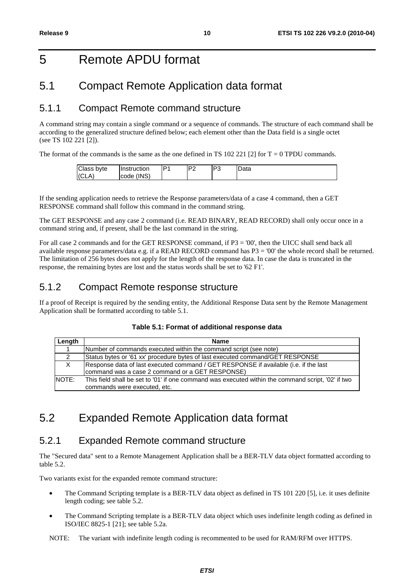### 5 Remote APDU format

### 5.1 Compact Remote Application data format

### 5.1.1 Compact Remote command structure

A command string may contain a single command or a sequence of commands. The structure of each command shall be according to the generalized structure defined below; each element other than the Data field is a single octet (see TS 102 221 [2]).

The format of the commands is the same as the one defined in TS 102 221 [2] for  $T = 0$  TPDU commands.

| Class byte | <b>Ilnstruction</b> | D <sub>1</sub> | n,<br>. .<br>- | DΩ<br>w | -<br>Data |
|------------|---------------------|----------------|----------------|---------|-----------|
| A<br>IICL. | (INS)<br>Icode      |                |                |         |           |

If the sending application needs to retrieve the Response parameters/data of a case 4 command, then a GET RESPONSE command shall follow this command in the command string.

The GET RESPONSE and any case 2 command (i.e. READ BINARY, READ RECORD) shall only occur once in a command string and, if present, shall be the last command in the string.

For all case 2 commands and for the GET RESPONSE command, if P3 = '00', then the UICC shall send back all available response parameters/data e.g. if a READ RECORD command has P3 = '00' the whole record shall be returned. The limitation of 256 bytes does not apply for the length of the response data. In case the data is truncated in the response, the remaining bytes are lost and the status words shall be set to '62 F1'.

### 5.1.2 Compact Remote response structure

If a proof of Receipt is required by the sending entity, the Additional Response Data sent by the Remote Management Application shall be formatted according to table 5.1.

| Length                  | <b>Name</b>                                                                                                                             |
|-------------------------|-----------------------------------------------------------------------------------------------------------------------------------------|
| $\overline{\mathbf{A}}$ | Number of commands executed within the command script (see note)                                                                        |
| $\overline{2}$          | Status bytes or '61 xx' procedure bytes of last executed command/GET RESPONSE                                                           |
| X                       | Response data of last executed command / GET RESPONSE if available (i.e. if the last<br>command was a case 2 command or a GET RESPONSE) |
| NOTE:                   | This field shall be set to '01' if one command was executed within the command script, '02' if two<br>commands were executed, etc.      |

### 5.2 Expanded Remote Application data format

### 5.2.1 Expanded Remote command structure

The "Secured data" sent to a Remote Management Application shall be a BER-TLV data object formatted according to table 5.2.

Two variants exist for the expanded remote command structure:

- The Command Scripting template is a BER-TLV data object as defined in TS 101 220 [5], i.e. it uses definite length coding; see table 5.2.
- The Command Scripting template is a BER-TLV data object which uses indefinite length coding as defined in ISO/IEC 8825-1 [21]; see table 5.2a.

NOTE: The variant with indefinite length coding is recommented to be used for RAM/RFM over HTTPS.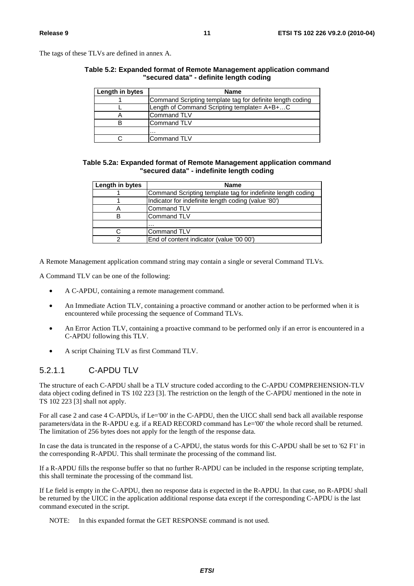The tags of these TLVs are defined in annex A.

#### **Table 5.2: Expanded format of Remote Management application command "secured data" - definite length coding**

| Length in bytes | <b>Name</b>                                               |
|-----------------|-----------------------------------------------------------|
|                 | Command Scripting template tag for definite length coding |
|                 | Length of Command Scripting template= A+B+C               |
|                 | Command TLV                                               |
|                 | Command TLV                                               |
|                 | .                                                         |
|                 | <b>Command TLV</b>                                        |

#### **Table 5.2a: Expanded format of Remote Management application command "secured data" - indefinite length coding**

| Length in bytes | <b>Name</b>                                                 |
|-----------------|-------------------------------------------------------------|
|                 | Command Scripting template tag for indefinite length coding |
|                 | Indicator for indefinite length coding (value '80')         |
|                 | Command TLV                                                 |
| в               | Command TLV                                                 |
|                 | .                                                           |
|                 | Command TLV                                                 |
| ົ               | End of content indicator (value '00 00')                    |

A Remote Management application command string may contain a single or several Command TLVs.

A Command TLV can be one of the following:

- A C-APDU, containing a remote management command.
- An Immediate Action TLV, containing a proactive command or another action to be performed when it is encountered while processing the sequence of Command TLVs.
- An Error Action TLV, containing a proactive command to be performed only if an error is encountered in a C-APDU following this TLV.
- A script Chaining TLV as first Command TLV.

#### 5.2.1.1 C-APDU TLV

The structure of each C-APDU shall be a TLV structure coded according to the C-APDU COMPREHENSION-TLV data object coding defined in TS 102 223 [3]. The restriction on the length of the C-APDU mentioned in the note in TS 102 223 [3] shall not apply.

For all case 2 and case 4 C-APDUs, if Le='00' in the C-APDU, then the UICC shall send back all available response parameters/data in the R-APDU e.g. if a READ RECORD command has Le='00' the whole record shall be returned. The limitation of 256 bytes does not apply for the length of the response data.

In case the data is truncated in the response of a C-APDU, the status words for this C-APDU shall be set to '62 F1' in the corresponding R-APDU. This shall terminate the processing of the command list.

If a R-APDU fills the response buffer so that no further R-APDU can be included in the response scripting template, this shall terminate the processing of the command list.

If Le field is empty in the C-APDU, then no response data is expected in the R-APDU. In that case, no R-APDU shall be returned by the UICC in the application additional response data except if the corresponding C-APDU is the last command executed in the script.

NOTE: In this expanded format the GET RESPONSE command is not used.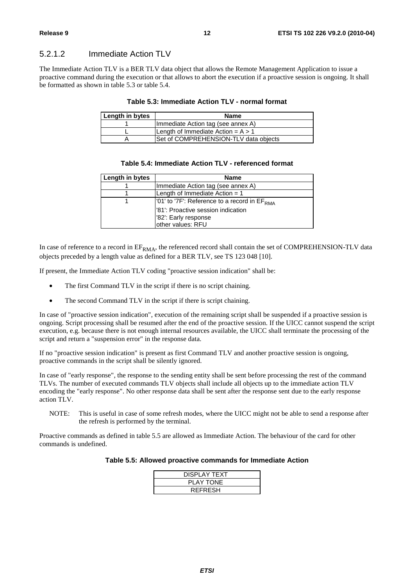#### 5.2.1.2 Immediate Action TLV

The Immediate Action TLV is a BER TLV data object that allows the Remote Management Application to issue a proactive command during the execution or that allows to abort the execution if a proactive session is ongoing. It shall be formatted as shown in table 5.3 or table 5.4.

#### **Table 5.3: Immediate Action TLV - normal format**

| Length in bytes | <b>Name</b>                           |
|-----------------|---------------------------------------|
|                 | (Immediate Action tag (see annex A)   |
|                 | Length of Immediate Action = $A > 1$  |
|                 | Set of COMPREHENSION-TLV data objects |

#### **Table 5.4: Immediate Action TLV - referenced format**

| Length in bytes | <b>Name</b>                                                 |
|-----------------|-------------------------------------------------------------|
|                 | Immediate Action tag (see annex A)                          |
|                 | Length of Immediate Action $= 1$                            |
|                 | $\sqrt{01}$ to '7F': Reference to a record in $EF_{RMA}$    |
|                 | l'81': Proactive session indication<br>'82": Early response |
|                 | other values: RFU                                           |

In case of reference to a record in  $EF_{RMA}$ , the referenced record shall contain the set of COMPREHENSION-TLV data objects preceded by a length value as defined for a BER TLV, see TS 123 048 [10].

If present, the Immediate Action TLV coding "proactive session indication" shall be:

- The first Command TLV in the script if there is no script chaining.
- The second Command TLV in the script if there is script chaining.

In case of "proactive session indication", execution of the remaining script shall be suspended if a proactive session is ongoing. Script processing shall be resumed after the end of the proactive session. If the UICC cannot suspend the script execution, e.g. because there is not enough internal resources available, the UICC shall terminate the processing of the script and return a "suspension error" in the response data.

If no "proactive session indication" is present as first Command TLV and another proactive session is ongoing, proactive commands in the script shall be silently ignored.

In case of "early response", the response to the sending entity shall be sent before processing the rest of the command TLVs. The number of executed commands TLV objects shall include all objects up to the immediate action TLV encoding the "early response". No other response data shall be sent after the response sent due to the early response action TLV.

NOTE: This is useful in case of some refresh modes, where the UICC might not be able to send a response after the refresh is performed by the terminal.

Proactive commands as defined in table 5.5 are allowed as Immediate Action. The behaviour of the card for other commands is undefined.

#### **Table 5.5: Allowed proactive commands for Immediate Action**

| DISPLAY TEXT     |
|------------------|
| <b>PLAY TONE</b> |
| <b>REFRESH</b>   |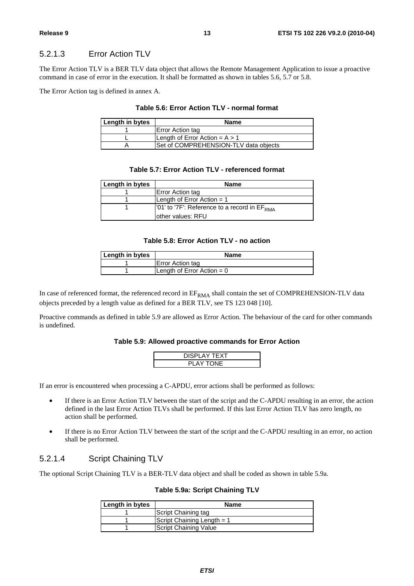#### 5.2.1.3 Error Action TLV

The Error Action TLV is a BER TLV data object that allows the Remote Management Application to issue a proactive command in case of error in the execution. It shall be formatted as shown in tables 5.6, 5.7 or 5.8.

The Error Action tag is defined in annex A.

#### **Table 5.6: Error Action TLV - normal format**

| Length in bytes | <b>Name</b>                           |
|-----------------|---------------------------------------|
|                 | Error Action tag                      |
|                 | Length of Error Action = $A > 1$      |
|                 | Set of COMPREHENSION-TLV data objects |

#### **Table 5.7: Error Action TLV - referenced format**

| Length in bytes | <b>Name</b>                                              |
|-----------------|----------------------------------------------------------|
|                 | Error Action tag                                         |
|                 | Length of Error Action $= 1$                             |
|                 | $\sqrt{01}$ to '7F': Reference to a record in $EF_{RMA}$ |
|                 | lother values: RFU                                       |

#### **Table 5.8: Error Action TLV - no action**

| Length in bytes | <b>Name</b>                  |
|-----------------|------------------------------|
|                 | <b>Error Action tag</b>      |
|                 | Length of Error Action = $0$ |

In case of referenced format, the referenced record in  $EF<sub>RMA</sub>$  shall contain the set of COMPREHENSION-TLV data objects preceded by a length value as defined for a BER TLV, see TS 123 048 [10].

Proactive commands as defined in table 5.9 are allowed as Error Action. The behaviour of the card for other commands is undefined.

#### **Table 5.9: Allowed proactive commands for Error Action**

| <b>DISPLAY TEXT</b> |
|---------------------|
| <b>PLAY TONE</b>    |

If an error is encountered when processing a C-APDU, error actions shall be performed as follows:

- If there is an Error Action TLV between the start of the script and the C-APDU resulting in an error, the action defined in the last Error Action TLVs shall be performed. If this last Error Action TLV has zero length, no action shall be performed.
- If there is no Error Action TLV between the start of the script and the C-APDU resulting in an error, no action shall be performed.

#### 5.2.1.4 Script Chaining TLV

The optional Script Chaining TLV is a BER-TLV data object and shall be coded as shown in table 5.9a.

#### **Table 5.9a: Script Chaining TLV**

| Length in bytes | <b>Name</b>                  |
|-----------------|------------------------------|
|                 | Script Chaining tag          |
|                 | Script Chaining Length $= 1$ |
|                 | Script Chaining Value        |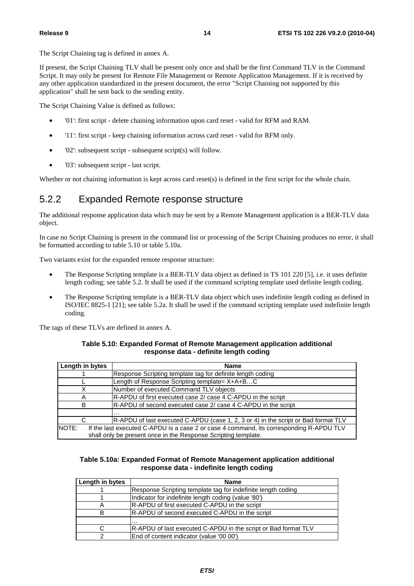The Script Chaining tag is defined in annex A.

If present, the Script Chaining TLV shall be present only once and shall be the first Command TLV in the Command Script. It may only be present for Remote File Management or Remote Application Management. If it is received by any other application standardized in the present document, the error "Script Chaining not supported by this application" shall be sent back to the sending entity.

The Script Chaining Value is defined as follows:

- '01': first script delete chaining information upon card reset valid for RFM and RAM.
- '11': first script keep chaining information across card reset valid for RFM only.
- '02': subsequent script subsequent script(s) will follow.
- '03': subsequent script last script.

Whether or not chaining information is kept across card reset(s) is defined in the first script for the whole chain.

### 5.2.2 Expanded Remote response structure

The additional response application data which may be sent by a Remote Management application is a BER-TLV data object.

In case no Script Chaining is present in the command list or processing of the Script Chaining produces no error, it shall be formatted according to table 5.10 or table 5.10a.

Two variants exist for the expanded remote response structure:

- The Response Scripting template is a BER-TLV data object as defined in TS 101 220 [5], i.e. it uses definite length coding; see table 5.2. It shall be used if the command scripting template used definite length coding.
- The Response Scripting template is a BER-TLV data object which uses indefinite length coding as defined in ISO/IEC 8825-1 [21]; see table 5.2a. It shall be used if the command scripting template used indefinite length coding.

The tags of these TLVs are defined in annex A.

| Table 5.10: Expanded Format of Remote Management application additional |
|-------------------------------------------------------------------------|
| response data - definite length coding                                  |

| Length in bytes | <b>Name</b>                                                                             |  |
|-----------------|-----------------------------------------------------------------------------------------|--|
|                 | Response Scripting template tag for definite length coding                              |  |
|                 | Length of Response Scripting template= X+A+BC                                           |  |
| X               | Number of executed Command TLV objects                                                  |  |
| Α               | R-APDU of first executed case 2/ case 4 C-APDU in the script                            |  |
| B               | R-APDU of second executed case 2/ case 4 C-APDU in the script                           |  |
|                 | .                                                                                       |  |
|                 | R-APDU of last executed C-APDU (case 1, 2, 3 or 4) in the script or Bad format TLV      |  |
| NOTE:           | If the last executed C-APDU is a case 2 or case 4 command, its corresponding R-APDU TLV |  |
|                 | shall only be present once in the Response Scripting template.                          |  |

#### **Table 5.10a: Expanded Format of Remote Management application additional response data - indefinite length coding**

| Length in bytes | <b>Name</b>                                                    |
|-----------------|----------------------------------------------------------------|
|                 | Response Scripting template tag for indefinite length coding   |
|                 | Indicator for indefinite length coding (value '80')            |
| A               | R-APDU of first executed C-APDU in the script                  |
|                 | <b>IR-APDU</b> of second executed C-APDU in the script         |
|                 | $\cdots$                                                       |
|                 | R-APDU of last executed C-APDU in the script or Bad format TLV |
|                 | End of content indicator (value '00 00')                       |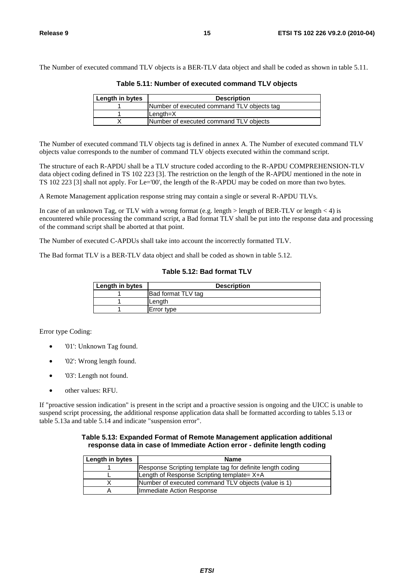The Number of executed command TLV objects is a BER-TLV data object and shall be coded as shown in table 5.11.

| Length in bytes | <b>Description</b>                         |
|-----------------|--------------------------------------------|
|                 | Number of executed command TLV objects tag |
|                 | $\mathsf{Length}=X$                        |
|                 | Number of executed command TLV objects     |

**Table 5.11: Number of executed command TLV objects** 

The Number of executed command TLV objects tag is defined in annex A. The Number of executed command TLV objects value corresponds to the number of command TLV objects executed within the command script.

The structure of each R-APDU shall be a TLV structure coded according to the R-APDU COMPREHENSION-TLV data object coding defined in TS 102 223 [3]. The restriction on the length of the R-APDU mentioned in the note in TS 102 223 [3] shall not apply. For Le='00', the length of the R-APDU may be coded on more than two bytes.

A Remote Management application response string may contain a single or several R-APDU TLVs.

In case of an unknown Tag, or TLV with a wrong format (e.g. length  $>$  length of BER-TLV or length  $<$  4) is encountered while processing the command script, a Bad format TLV shall be put into the response data and processing of the command script shall be aborted at that point.

The Number of executed C-APDUs shall take into account the incorrectly formatted TLV.

The Bad format TLV is a BER-TLV data object and shall be coded as shown in table 5.12.

#### **Table 5.12: Bad format TLV**

| Length in bytes | <b>Description</b> |
|-----------------|--------------------|
|                 | Bad format TLV tag |
|                 | Lenath             |
|                 | Error type         |

Error type Coding:

- '01': Unknown Tag found.
- '02': Wrong length found.
- '03': Length not found.
- other values: RFU.

If "proactive session indication" is present in the script and a proactive session is ongoing and the UICC is unable to suspend script processing, the additional response application data shall be formatted according to tables 5.13 or table 5.13a and table 5.14 and indicate "suspension error".

#### **Table 5.13: Expanded Format of Remote Management application additional response data in case of Immediate Action error - definite length coding**

| Length in bytes | <b>Name</b>                                                |
|-----------------|------------------------------------------------------------|
|                 | Response Scripting template tag for definite length coding |
|                 | Length of Response Scripting template= X+A                 |
|                 | Number of executed command TLV objects (value is 1)        |
|                 | Ilmmediate Action Response                                 |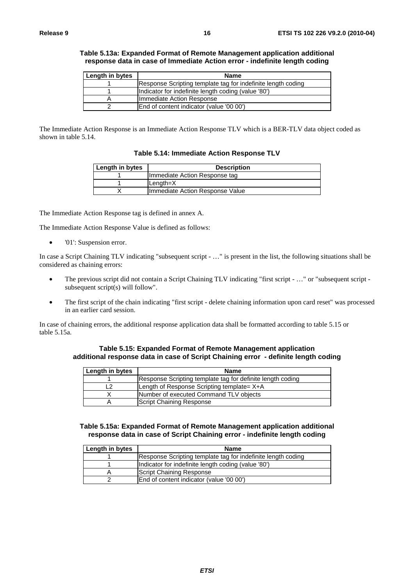| Length in bytes | <b>Name</b>                                                  |
|-----------------|--------------------------------------------------------------|
|                 | Response Scripting template tag for indefinite length coding |
|                 | Indicator for indefinite length coding (value '80')          |
| А               | Immediate Action Response                                    |
|                 | End of content indicator (value '00 00')                     |

#### **Table 5.13a: Expanded Format of Remote Management application additional response data in case of Immediate Action error - indefinite length coding**

The Immediate Action Response is an Immediate Action Response TLV which is a BER-TLV data object coded as shown in table 5.14.

| Table 5.14: Immediate Action Response TLV |
|-------------------------------------------|
|-------------------------------------------|

| Length in bytes | <b>Description</b>              |
|-----------------|---------------------------------|
|                 | Immediate Action Response tag   |
|                 | $Lenath=X$                      |
|                 | Immediate Action Response Value |

The Immediate Action Response tag is defined in annex A.

The Immediate Action Response Value is defined as follows:

• '01': Suspension error.

In case a Script Chaining TLV indicating "subsequent script - …" is present in the list, the following situations shall be considered as chaining errors:

- The previous script did not contain a Script Chaining TLV indicating "first script ..." or "subsequent script subsequent script(s) will follow".
- The first script of the chain indicating "first script delete chaining information upon card reset" was processed in an earlier card session.

In case of chaining errors, the additional response application data shall be formatted according to table 5.15 or table 5.15a.

#### **Table 5.15: Expanded Format of Remote Management application additional response data in case of Script Chaining error - definite length coding**

| Length in bytes | <b>Name</b>                                                |
|-----------------|------------------------------------------------------------|
|                 | Response Scripting template tag for definite length coding |
|                 | Length of Response Scripting template= X+A                 |
|                 | Number of executed Command TLV objects                     |
|                 | Script Chaining Response                                   |

#### **Table 5.15a: Expanded Format of Remote Management application additional response data in case of Script Chaining error - indefinite length coding**

| Length in bytes | <b>Name</b>                                                  |
|-----------------|--------------------------------------------------------------|
|                 | Response Scripting template tag for indefinite length coding |
|                 | Indicator for indefinite length coding (value '80')          |
|                 | Script Chaining Response                                     |
|                 | End of content indicator (value '00 00')                     |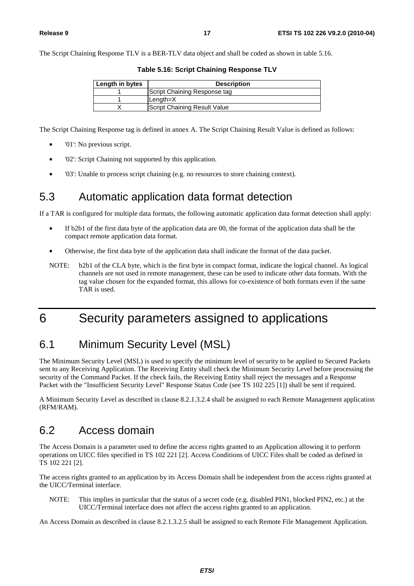The Script Chaining Response TLV is a BER-TLV data object and shall be coded as shown in table 5.16.

| Length in bytes | <b>Description</b>           |
|-----------------|------------------------------|
|                 | Script Chaining Response tag |
|                 | lLenath=X                    |
|                 | Script Chaining Result Value |

**Table 5.16: Script Chaining Response TLV** 

The Script Chaining Response tag is defined in annex A. The Script Chaining Result Value is defined as follows:

- '01': No previous script.
- '02': Script Chaining not supported by this application.
- '03': Unable to process script chaining (e.g. no resources to store chaining context).

### 5.3 Automatic application data format detection

If a TAR is configured for multiple data formats, the following automatic application data format detection shall apply:

- If b2b1 of the first data byte of the application data are 00, the format of the application data shall be the compact remote application data format.
- Otherwise, the first data byte of the application data shall indicate the format of the data packet.
- NOTE: b2b1 of the CLA byte, which is the first byte in compact format, indicate the logical channel. As logical channels are not used in remote management, these can be used to indicate other data formats. With the tag value chosen for the expanded format, this allows for co-existence of both formats even if the same TAR is used.

### 6 Security parameters assigned to applications

### 6.1 Minimum Security Level (MSL)

The Minimum Security Level (MSL) is used to specify the minimum level of security to be applied to Secured Packets sent to any Receiving Application. The Receiving Entity shall check the Minimum Security Level before processing the security of the Command Packet. If the check fails, the Receiving Entity shall reject the messages and a Response Packet with the "Insufficient Security Level" Response Status Code (see TS 102 225 [1]) shall be sent if required.

A Minimum Security Level as described in clause 8.2.1.3.2.4 shall be assigned to each Remote Management application (RFM/RAM).

### 6.2 Access domain

The Access Domain is a parameter used to define the access rights granted to an Application allowing it to perform operations on UICC files specified in TS 102 221 [2]. Access Conditions of UICC Files shall be coded as defined in TS 102 221 [2].

The access rights granted to an application by its Access Domain shall be independent from the access rights granted at the UICC/Terminal interface.

NOTE: This implies in particular that the status of a secret code (e.g. disabled PIN1, blocked PIN2, etc.) at the UICC/Terminal interface does not affect the access rights granted to an application.

An Access Domain as described in clause 8.2.1.3.2.5 shall be assigned to each Remote File Management Application.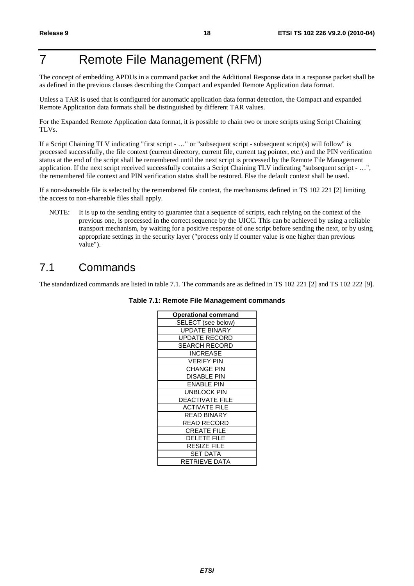### 7 Remote File Management (RFM)

The concept of embedding APDUs in a command packet and the Additional Response data in a response packet shall be as defined in the previous clauses describing the Compact and expanded Remote Application data format.

Unless a TAR is used that is configured for automatic application data format detection, the Compact and expanded Remote Application data formats shall be distinguished by different TAR values.

For the Expanded Remote Application data format, it is possible to chain two or more scripts using Script Chaining TLVs.

If a Script Chaining TLV indicating "first script - …" or "subsequent script - subsequent script(s) will follow" is processed successfully, the file context (current directory, current file, current tag pointer, etc.) and the PIN verification status at the end of the script shall be remembered until the next script is processed by the Remote File Management application. If the next script received successfully contains a Script Chaining TLV indicating "subsequent script - …", the remembered file context and PIN verification status shall be restored. Else the default context shall be used.

If a non-shareable file is selected by the remembered file context, the mechanisms defined in TS 102 221 [2] limiting the access to non-shareable files shall apply.

NOTE: It is up to the sending entity to guarantee that a sequence of scripts, each relying on the context of the previous one, is processed in the correct sequence by the UICC. This can be achieved by using a reliable transport mechanism, by waiting for a positive response of one script before sending the next, or by using appropriate settings in the security layer ("process only if counter value is one higher than previous value").

### 7.1 Commands

The standardized commands are listed in table 7.1. The commands are as defined in TS 102 221 [2] and TS 102 222 [9].

| <b>Operational command</b> |
|----------------------------|
| SELECT (see below)         |
| <b>UPDATE BINARY</b>       |
| <b>UPDATE RECORD</b>       |
| <b>SEARCH RECORD</b>       |
| <b>INCREASE</b>            |
| <b>VERIFY PIN</b>          |
| <b>CHANGE PIN</b>          |
| <b>DISABLE PIN</b>         |
| <b>ENABLE PIN</b>          |
| UNBLOCK PIN                |
| <b>DEACTIVATE FILE</b>     |
| <b>ACTIVATE FILE</b>       |
| <b>READ BINARY</b>         |
| <b>READ RECORD</b>         |
| <b>CREATE FILE</b>         |
| <b>DELETE FILE</b>         |
| RESIZE FILE                |
| <b>SET DATA</b>            |
| RETRIEVE DATA              |
|                            |

#### **Table 7.1: Remote File Management commands**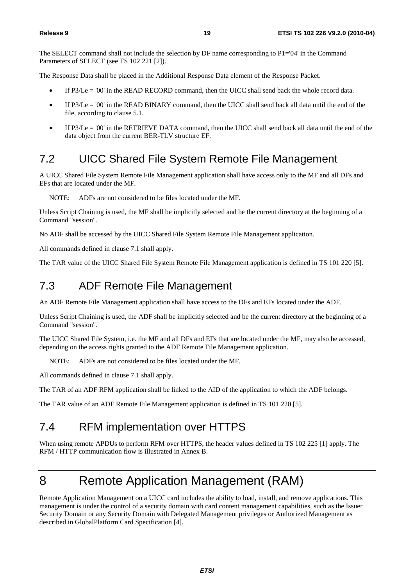The SELECT command shall not include the selection by DF name corresponding to P1='04' in the Command Parameters of SELECT (see TS 102 221 [2]).

The Response Data shall be placed in the Additional Response Data element of the Response Packet.

- If P3/Le = '00' in the READ RECORD command, then the UICC shall send back the whole record data.
- If  $P3/Le = 0'$  in the READ BINARY command, then the UICC shall send back all data until the end of the file, according to clause 5.1.
- If P3/Le = '00' in the RETRIEVE DATA command, then the UICC shall send back all data until the end of the data object from the current BER-TLV structure EF.

### 7.2 UICC Shared File System Remote File Management

A UICC Shared File System Remote File Management application shall have access only to the MF and all DFs and EFs that are located under the MF.

NOTE: ADFs are not considered to be files located under the MF.

Unless Script Chaining is used, the MF shall be implicitly selected and be the current directory at the beginning of a Command "session".

No ADF shall be accessed by the UICC Shared File System Remote File Management application.

All commands defined in clause 7.1 shall apply.

The TAR value of the UICC Shared File System Remote File Management application is defined in TS 101 220 [5].

### 7.3 ADF Remote File Management

An ADF Remote File Management application shall have access to the DFs and EFs located under the ADF.

Unless Script Chaining is used, the ADF shall be implicitly selected and be the current directory at the beginning of a Command "session".

The UICC Shared File System, i.e. the MF and all DFs and EFs that are located under the MF, may also be accessed, depending on the access rights granted to the ADF Remote File Management application.

NOTE: ADFs are not considered to be files located under the MF.

All commands defined in clause 7.1 shall apply.

The TAR of an ADF RFM application shall be linked to the AID of the application to which the ADF belongs.

The TAR value of an ADF Remote File Management application is defined in TS 101 220 [5].

### 7.4 RFM implementation over HTTPS

When using remote APDUs to perform RFM over HTTPS, the header values defined in TS 102 225 [1] apply. The RFM / HTTP communication flow is illustrated in Annex B.

### 8 Remote Application Management (RAM)

Remote Application Management on a UICC card includes the ability to load, install, and remove applications. This management is under the control of a security domain with card content management capabilities, such as the Issuer Security Domain or any Security Domain with Delegated Management privileges or Authorized Management as described in GlobalPlatform Card Specification [4].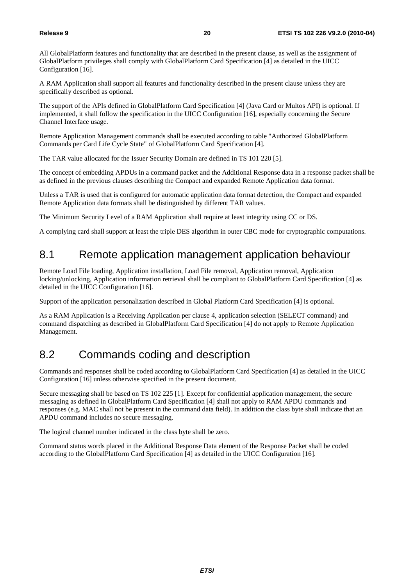All GlobalPlatform features and functionality that are described in the present clause, as well as the assignment of GlobalPlatform privileges shall comply with GlobalPlatform Card Specification [4] as detailed in the UICC Configuration [16].

A RAM Application shall support all features and functionality described in the present clause unless they are specifically described as optional.

The support of the APIs defined in GlobalPlatform Card Specification [4] (Java Card or Multos API) is optional. If implemented, it shall follow the specification in the UICC Configuration [16], especially concerning the Secure Channel Interface usage.

Remote Application Management commands shall be executed according to table "Authorized GlobalPlatform Commands per Card Life Cycle State" of GlobalPlatform Card Specification [4].

The TAR value allocated for the Issuer Security Domain are defined in TS 101 220 [5].

The concept of embedding APDUs in a command packet and the Additional Response data in a response packet shall be as defined in the previous clauses describing the Compact and expanded Remote Application data format.

Unless a TAR is used that is configured for automatic application data format detection, the Compact and expanded Remote Application data formats shall be distinguished by different TAR values.

The Minimum Security Level of a RAM Application shall require at least integrity using CC or DS.

A complying card shall support at least the triple DES algorithm in outer CBC mode for cryptographic computations.

### 8.1 Remote application management application behaviour

Remote Load File loading, Application installation, Load File removal, Application removal, Application locking/unlocking, Application information retrieval shall be compliant to GlobalPlatform Card Specification [4] as detailed in the UICC Configuration [16].

Support of the application personalization described in Global Platform Card Specification [4] is optional.

As a RAM Application is a Receiving Application per clause 4, application selection (SELECT command) and command dispatching as described in GlobalPlatform Card Specification [4] do not apply to Remote Application Management.

### 8.2 Commands coding and description

Commands and responses shall be coded according to GlobalPlatform Card Specification [4] as detailed in the UICC Configuration [16] unless otherwise specified in the present document.

Secure messaging shall be based on TS 102 225 [1]. Except for confidential application management, the secure messaging as defined in GlobalPlatform Card Specification [4] shall not apply to RAM APDU commands and responses (e.g. MAC shall not be present in the command data field). In addition the class byte shall indicate that an APDU command includes no secure messaging.

The logical channel number indicated in the class byte shall be zero.

Command status words placed in the Additional Response Data element of the Response Packet shall be coded according to the GlobalPlatform Card Specification [4] as detailed in the UICC Configuration [16].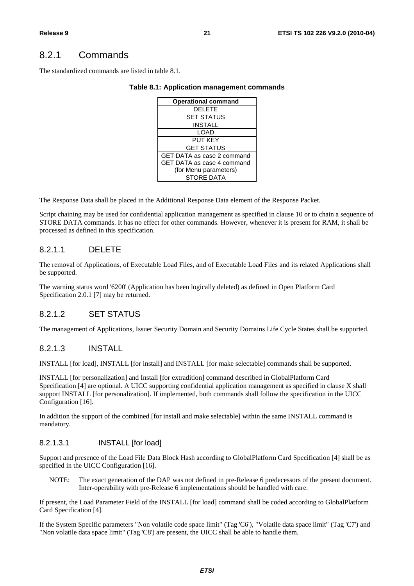### 8.2.1 Commands

The standardized commands are listed in table 8.1.

#### **Table 8.1: Application management commands**

| <b>Operational command</b> |
|----------------------------|
| <b>DELETE</b>              |
| <b>SET STATUS</b>          |
| <b>INSTALL</b>             |
| LOAD                       |
| <b>PUT KEY</b>             |
| <b>GET STATUS</b>          |
| GET DATA as case 2 command |
| GET DATA as case 4 command |
| (for Menu parameters)      |
| <b>STORE DATA</b>          |

The Response Data shall be placed in the Additional Response Data element of the Response Packet.

Script chaining may be used for confidential application management as specified in clause 10 or to chain a sequence of STORE DATA commands. It has no effect for other commands. However, whenever it is present for RAM, it shall be processed as defined in this specification.

#### 8.2.1.1 DELETE

The removal of Applications, of Executable Load Files, and of Executable Load Files and its related Applications shall be supported.

The warning status word '6200' (Application has been logically deleted) as defined in Open Platform Card Specification 2.0.1 [7] may be returned.

#### 8.2.1.2 SET STATUS

The management of Applications, Issuer Security Domain and Security Domains Life Cycle States shall be supported.

#### 8.2.1.3 INSTALL

INSTALL [for load], INSTALL [for install] and INSTALL [for make selectable] commands shall be supported.

INSTALL [for personalization] and Install [for extradition] command described in GlobalPlatform Card Specification [4] are optional. A UICC supporting confidential application management as specified in clause X shall support INSTALL [for personalization]. If implemented, both commands shall follow the specification in the UICC Configuration [16].

In addition the support of the combined [for install and make selectable] within the same INSTALL command is mandatory.

#### 8.2.1.3.1 INSTALL [for load]

Support and presence of the Load File Data Block Hash according to GlobalPlatform Card Specification [4] shall be as specified in the UICC Configuration [16].

NOTE: The exact generation of the DAP was not defined in pre-Release 6 predecessors of the present document. Inter-operability with pre-Release 6 implementations should be handled with care.

If present, the Load Parameter Field of the INSTALL [for load] command shall be coded according to GlobalPlatform Card Specification [4].

If the System Specific parameters "Non volatile code space limit" (Tag 'C6'), "Volatile data space limit" (Tag 'C7') and "Non volatile data space limit" (Tag 'C8') are present, the UICC shall be able to handle them.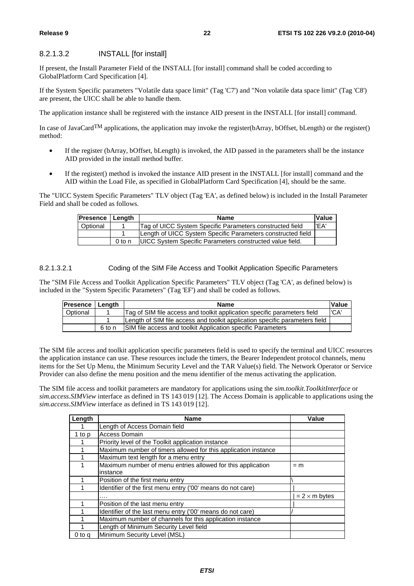#### 8.2.1.3.2 INSTALL [for install]

If present, the Install Parameter Field of the INSTALL [for install] command shall be coded according to GlobalPlatform Card Specification [4].

If the System Specific parameters "Volatile data space limit" (Tag 'C7') and "Non volatile data space limit" (Tag 'C8') are present, the UICC shall be able to handle them.

The application instance shall be registered with the instance AID present in the INSTALL [for install] command.

In case of JavaCard<sup>TM</sup> applications, the application may invoke the register(bArray, bOffset, bLength) or the register() method:

- If the register (bArray, bOffset, bLength) is invoked, the AID passed in the parameters shall be the instance AID provided in the install method buffer.
- If the register() method is invoked the instance AID present in the INSTALL [for install] command and the AID within the Load File, as specified in GlobalPlatform Card Specification [4], should be the same.

The "UICC System Specific Parameters" TLV object (Tag 'EA', as defined below) is included in the Install Parameter Field and shall be coded as follows.

| <b>Presence   Length</b> |        | <b>Name</b>                                                     | Value |
|--------------------------|--------|-----------------------------------------------------------------|-------|
| Optional                 |        | Tag of UICC System Specific Parameters constructed field        | l'EA  |
|                          |        | Length of UICC System Specific Parameters constructed field     |       |
|                          | 0 to n | <b>UICC System Specific Parameters constructed value field.</b> |       |

#### 8.2.1.3.2.1 Coding of the SIM File Access and Toolkit Application Specific Parameters

The "SIM File Access and Toolkit Application Specific Parameters" TLV object (Tag 'CA', as defined below) is included in the "System Specific Parameters" (Tag 'EF') and shall be coded as follows.

| <b>Presence   Length</b> |                                                                          | <b>Value</b><br>Name                                                        |      |
|--------------------------|--------------------------------------------------------------------------|-----------------------------------------------------------------------------|------|
| Optional                 | Tag of SIM file access and toolkit application specific parameters field |                                                                             | 'CA' |
|                          |                                                                          | Length of SIM file access and toolkit application specific parameters field |      |
|                          | 6 to n                                                                   | SIM file access and toolkit Application specific Parameters                 |      |

The SIM file access and toolkit application specific parameters field is used to specify the terminal and UICC resources the application instance can use. These resources include the timers, the Bearer Independent protocol channels, menu items for the Set Up Menu, the Minimum Security Level and the TAR Value(s) field. The Network Operator or Service Provider can also define the menu position and the menu identifier of the menus activating the application.

The SIM file access and toolkit parameters are mandatory for applications using the *sim.toolkit.ToolkitInterface* or *sim.access.SIMView* interface as defined in TS 143 019 [12]. The Access Domain is applicable to applications using the *sim.access.SIMView* interface as defined in TS 143 019 [12].

| Length | <b>Name</b>                                                    | Value                |
|--------|----------------------------------------------------------------|----------------------|
|        | Length of Access Domain field                                  |                      |
| 1 to p | <b>Access Domain</b>                                           |                      |
|        | Priority level of the Toolkit application instance             |                      |
|        | Maximum number of timers allowed for this application instance |                      |
|        | Maximum text length for a menu entry                           |                      |
|        | Maximum number of menu entries allowed for this application    | $=$ m                |
|        | instance                                                       |                      |
|        | Position of the first menu entry                               |                      |
|        | Identifier of the first menu entry ('00' means do not care)    |                      |
|        |                                                                | $= 2 \times m$ bytes |
|        | Position of the last menu entry                                |                      |
|        | Identifier of the last menu entry ('00' means do not care)     |                      |
|        | Maximum number of channels for this application instance       |                      |
|        | Length of Minimum Security Level field                         |                      |
| 0 to g | Minimum Security Level (MSL)                                   |                      |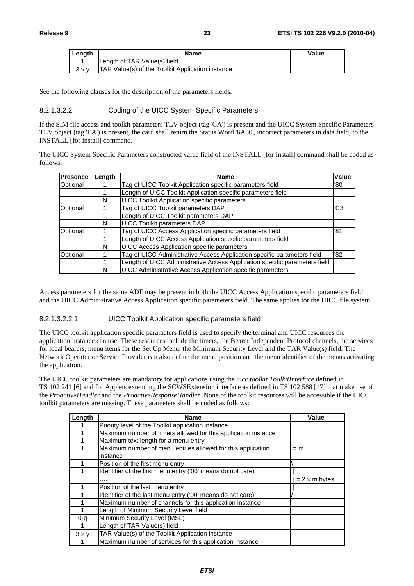| Length       | Name                                                    | Value |
|--------------|---------------------------------------------------------|-------|
|              | Length of TAR Value(s) field                            |       |
| $3 \times v$ | <b>TAR Value(s) of the Toolkit Application instance</b> |       |

See the following clauses for the description of the parameters fields.

#### 8.2.1.3.2.2 Coding of the UICC System Specific Parameters

If the SIM file access and toolkit parameters TLV object (tag 'CA') is present and the UICC System Specific Parameters TLV object (tag 'EA') is present, the card shall return the Status Word '6A80', incorrect parameters in data field, to the INSTALL [for install] command.

The UICC System Specific Parameters constructed value field of the INSTALL [for Install] command shall be coded as follows:

| Presence | Length | <b>Name</b>                                                                | <b>Value</b> |
|----------|--------|----------------------------------------------------------------------------|--------------|
| Optional |        | Tag of UICC Toolkit Application specific parameters field                  | '80'         |
|          |        | Length of UICC Toolkit Application specific parameters field               |              |
|          | N      | <b>UICC Toolkit Application specific parameters</b>                        |              |
| Optional |        | Tag of UICC Toolkit parameters DAP                                         | 'C3'         |
|          |        | Length of UICC Toolkit parameters DAP                                      |              |
|          | N      | <b>UICC Toolkit parameters DAP</b>                                         |              |
| Optional |        | Tag of UICC Access Application specific parameters field                   | '81'         |
|          |        | Length of UICC Access Application specific parameters field                |              |
|          | N      | <b>UICC Access Application specific parameters</b>                         |              |
| Optional |        | Tag of UICC Administrative Access Application specific parameters field    | '82'         |
|          |        | Length of UICC Administrative Access Application specific parameters field |              |
|          | N      | UICC Administrative Access Application specific parameters                 |              |

Access parameters for the same ADF may be present in both the UICC Access Application specific parameters field and the UICC Administrative Access Application specific parameters field. The same applies for the UICC file system.

#### 8.2.1.3.2.2.1 UICC Toolkit Application specific parameters field

The UICC toolkit application specific parameters field is used to specify the terminal and UICC resources the application instance can use. These resources include the timers, the Bearer Independent Protocol channels, the services for local bearers, menu items for the Set Up Menu, the Minimum Security Level and the TAR Value(s) field. The Network Operator or Service Provider can also define the menu position and the menu identifier of the menus activating the application.

The UICC toolkit parameters are mandatory for applications using the *uicc.toolkit.ToolkitInterface* defined in TS 102 241 [6] and for Applets extending the SCWSExtension interface as defined in TS 102 588 [17] that make use of the *ProactiveHandler* and the *ProactiveResponseHandler*. None of the toolkit resources will be accessible if the UICC toolkit parameters are missing. These parameters shall be coded as follows:

| Length       | <b>Name</b>                                                             | Value                |
|--------------|-------------------------------------------------------------------------|----------------------|
|              | Priority level of the Toolkit application instance                      |                      |
|              | Maximum number of timers allowed for this application instance          |                      |
|              | Maximum text length for a menu entry                                    |                      |
|              | Maximum number of menu entries allowed for this application<br>instance | $=m$                 |
|              | Position of the first menu entry                                        |                      |
|              | Identifier of the first menu entry ('00' means do not care)             |                      |
|              | .                                                                       | $= 2 \times m$ bytes |
|              | Position of the last menu entry                                         |                      |
|              | Identifier of the last menu entry ('00' means do not care)              |                      |
|              | Maximum number of channels for this application instance                |                      |
|              | Length of Minimum Security Level field                                  |                      |
| 0-a          | Minimum Security Level (MSL)                                            |                      |
|              | Length of TAR Value(s) field                                            |                      |
| $3 \times v$ | TAR Value(s) of the Toolkit Application instance                        |                      |
|              | Maximum number of services for this application instance                |                      |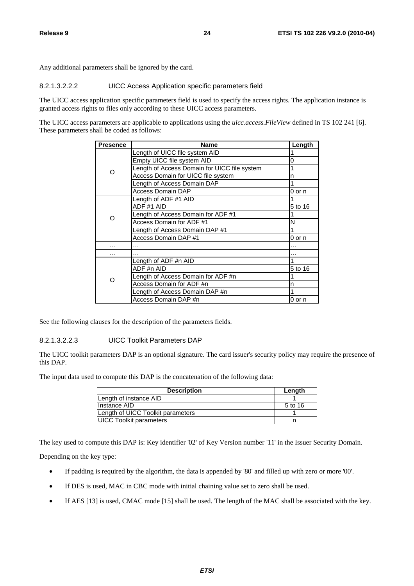Any additional parameters shall be ignored by the card.

#### 8.2.1.3.2.2.2 UICC Access Application specific parameters field

The UICC access application specific parameters field is used to specify the access rights. The application instance is granted access rights to files only according to these UICC access parameters.

The UICC access parameters are applicable to applications using the *uicc.access.FileView* defined in TS 102 241 [6]. These parameters shall be coded as follows:

| <b>Presence</b> | <b>Name</b>                                  | Length  |
|-----------------|----------------------------------------------|---------|
|                 | Length of UICC file system AID               |         |
|                 | Empty UICC file system AID                   | 0       |
| Ω               | Length of Access Domain for UICC file system |         |
|                 | Access Domain for UICC file system           | n       |
|                 | Length of Access Domain DAP                  |         |
|                 | Access Domain DAP                            | 0 or n  |
|                 | Length of ADF #1 AID                         |         |
|                 | ADF #1 AID                                   | 5 to 16 |
| ∩               | Length of Access Domain for ADF #1           |         |
|                 | Access Domain for ADF #1                     | N       |
|                 | Length of Access Domain DAP #1               |         |
|                 | Access Domain DAP #1                         | 0 or n  |
| .               | .                                            | .       |
| .               |                                              |         |
|                 | Length of ADF #n AID                         |         |
| ∩               | ADF #n AID                                   | 5 to 16 |
|                 | Length of Access Domain for ADF #n           |         |
|                 | Access Domain for ADF #n                     | n       |
|                 | Length of Access Domain DAP #n               |         |
|                 | Access Domain DAP #n                         | 0 or n  |

See the following clauses for the description of the parameters fields.

#### 8.2.1.3.2.2.3 UICC Toolkit Parameters DAP

The UICC toolkit parameters DAP is an optional signature. The card issuer's security policy may require the presence of this DAP.

The input data used to compute this DAP is the concatenation of the following data:

| <b>Description</b>                | Length  |
|-----------------------------------|---------|
| Length of instance AID            |         |
| lInstance AID                     | 5 to 16 |
| Length of UICC Toolkit parameters |         |
| <b>UICC Toolkit parameters</b>    |         |

The key used to compute this DAP is: Key identifier '02' of Key Version number '11' in the Issuer Security Domain.

Depending on the key type:

- If padding is required by the algorithm, the data is appended by '80' and filled up with zero or more '00'.
- If DES is used, MAC in CBC mode with initial chaining value set to zero shall be used.
- If AES [13] is used, CMAC mode [15] shall be used. The length of the MAC shall be associated with the key.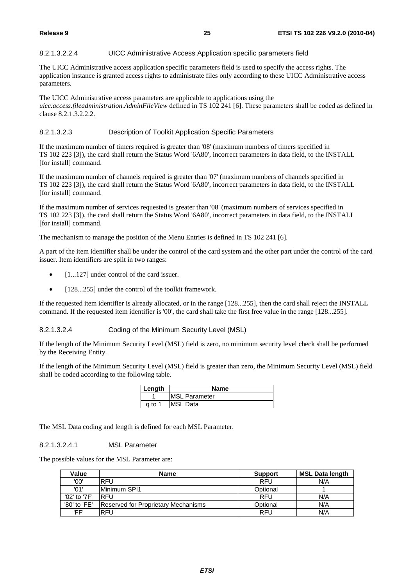#### 8.2.1.3.2.2.4 UICC Administrative Access Application specific parameters field

The UICC Administrative access application specific parameters field is used to specify the access rights. The application instance is granted access rights to administrate files only according to these UICC Administrative access parameters.

The UICC Administrative access parameters are applicable to applications using the *uicc.access.fileadministration.AdminFileView* defined in TS 102 241 [6]. These parameters shall be coded as defined in clause 8.2.1.3.2.2.2.

#### 8.2.1.3.2.3 Description of Toolkit Application Specific Parameters

If the maximum number of timers required is greater than '08' (maximum numbers of timers specified in TS 102 223 [3]), the card shall return the Status Word '6A80', incorrect parameters in data field, to the INSTALL [for install] command.

If the maximum number of channels required is greater than '07' (maximum numbers of channels specified in TS 102 223 [3]), the card shall return the Status Word '6A80', incorrect parameters in data field, to the INSTALL [for install] command.

If the maximum number of services requested is greater than '08' (maximum numbers of services specified in TS 102 223 [3]), the card shall return the Status Word '6A80', incorrect parameters in data field, to the INSTALL [for install] command.

The mechanism to manage the position of the Menu Entries is defined in TS 102 241 [6].

A part of the item identifier shall be under the control of the card system and the other part under the control of the card issuer. Item identifiers are split in two ranges:

- [1...127] under control of the card issuer.
- [128...255] under the control of the toolkit framework.

If the requested item identifier is already allocated, or in the range [128...255], then the card shall reject the INSTALL command. If the requested item identifier is '00', the card shall take the first free value in the range [128...255].

#### 8.2.1.3.2.4 Coding of the Minimum Security Level (MSL)

If the length of the Minimum Security Level (MSL) field is zero, no minimum security level check shall be performed by the Receiving Entity.

If the length of the Minimum Security Level (MSL) field is greater than zero, the Minimum Security Level (MSL) field shall be coded according to the following table.

| l Lenath | Name                 |
|----------|----------------------|
|          | <b>MSL Parameter</b> |
| a to 1   | <b>MSL Data</b>      |

The MSL Data coding and length is defined for each MSL Parameter.

#### 8.2.1.3.2.4.1 MSL Parameter

The possible values for the MSL Parameter are:

| Value        | <b>Name</b>                                | <b>Support</b> | <b>MSL Data length</b> |
|--------------|--------------------------------------------|----------------|------------------------|
| '00'         | RFU                                        | <b>RFU</b>     | N/A                    |
| '01'         | Minimum SPI1                               | Optional       |                        |
| '02' to '7F' | <b>IRFU</b>                                | <b>RFU</b>     | N/A                    |
| '80' to 'FE' | <b>Reserved for Proprietary Mechanisms</b> | Optional       | N/A                    |
| 'FF'         | <b>RFU</b>                                 | <b>RFU</b>     | N/A                    |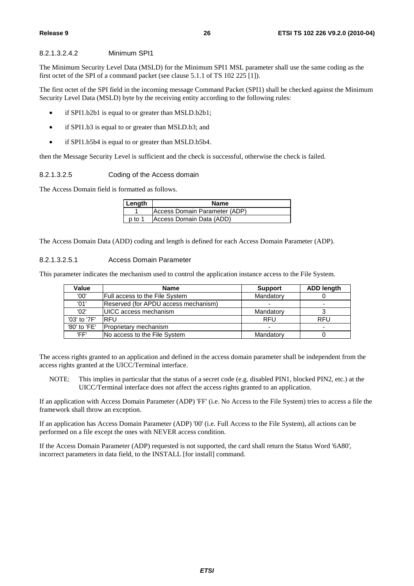#### 8.2.1.3.2.4.2 Minimum SPI1

The Minimum Security Level Data (MSLD) for the Minimum SPI1 MSL parameter shall use the same coding as the first octet of the SPI of a command packet (see clause 5.1.1 of TS 102 225 [1]).

The first octet of the SPI field in the incoming message Command Packet (SPI1) shall be checked against the Minimum Security Level Data (MSLD) byte by the receiving entity according to the following rules:

- if SPI1.b2b1 is equal to or greater than MSLD.b2b1;
- if SPI1.b3 is equal to or greater than MSLD.b3; and
- if SPI1.b5b4 is equal to or greater than MSLD.b5b4.

then the Message Security Level is sufficient and the check is successful, otherwise the check is failed.

8.2.1.3.2.5 Coding of the Access domain

The Access Domain field is formatted as follows.

| Length | <b>Name</b>                   |
|--------|-------------------------------|
|        | Access Domain Parameter (ADP) |
| n to 1 | Access Domain Data (ADD)      |

The Access Domain Data (ADD) coding and length is defined for each Access Domain Parameter (ADP).

#### 8.2.1.3.2.5.1 Access Domain Parameter

This parameter indicates the mechanism used to control the application instance access to the File System.

| Value        | <b>Name</b>                          | <b>Support</b> | <b>ADD length</b> |
|--------------|--------------------------------------|----------------|-------------------|
| '00'         | Full access to the File System       | Mandatory      |                   |
| '01'         | Reserved (for APDU access mechanism) |                |                   |
| '02'         | IUICC access mechanism               | Mandatory      |                   |
| '03' to '7F' | RFU                                  | <b>RFU</b>     | <b>RFU</b>        |
| '80' to 'FE' | Proprietary mechanism                |                |                   |
| 'FF'         | No access to the File System         | Mandatory      |                   |

The access rights granted to an application and defined in the access domain parameter shall be independent from the access rights granted at the UICC/Terminal interface.

NOTE: This implies in particular that the status of a secret code (e.g. disabled PIN1, blocked PIN2, etc.) at the UICC/Terminal interface does not affect the access rights granted to an application.

If an application with Access Domain Parameter (ADP) 'FF' (i.e. No Access to the File System) tries to access a file the framework shall throw an exception.

If an application has Access Domain Parameter (ADP) '00' (i.e. Full Access to the File System), all actions can be performed on a file except the ones with NEVER access condition.

If the Access Domain Parameter (ADP) requested is not supported, the card shall return the Status Word '6A80', incorrect parameters in data field, to the INSTALL [for install] command.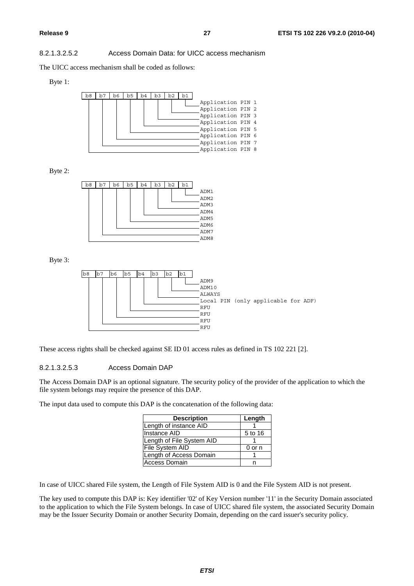#### 8.2.1.3.2.5.2 Access Domain Data: for UICC access mechanism

The UICC access mechanism shall be coded as follows:

#### Byte 1:



Byte 2:



Byte 3:



These access rights shall be checked against SE ID 01 access rules as defined in TS 102 221 [2].

#### 8.2.1.3.2.5.3 Access Domain DAP

The Access Domain DAP is an optional signature. The security policy of the provider of the application to which the file system belongs may require the presence of this DAP.

The input data used to compute this DAP is the concatenation of the following data:

| <b>Description</b>        | Length  |
|---------------------------|---------|
| Length of instance AID    |         |
| Instance AID              | 5 to 16 |
| Length of File System AID |         |
| <b>File System AID</b>    | 0 or n  |
| Length of Access Domain   |         |
| <b>Access Domain</b>      |         |

In case of UICC shared File system, the Length of File System AID is 0 and the File System AID is not present.

The key used to compute this DAP is: Key identifier '02' of Key Version number '11' in the Security Domain associated to the application to which the File System belongs. In case of UICC shared file system, the associated Security Domain may be the Issuer Security Domain or another Security Domain, depending on the card issuer's security policy.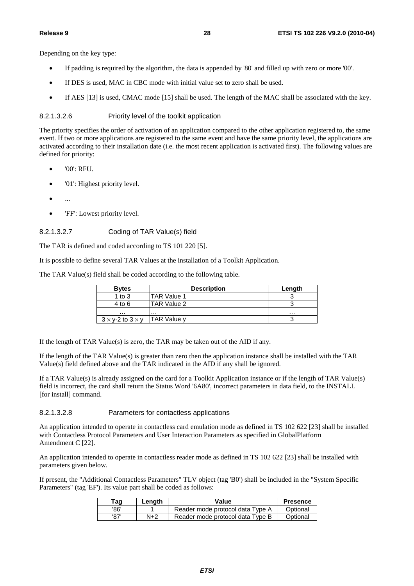Depending on the key type:

- If padding is required by the algorithm, the data is appended by '80' and filled up with zero or more '00'.
- If DES is used, MAC in CBC mode with initial value set to zero shall be used.
- If AES [13] is used, CMAC mode [15] shall be used. The length of the MAC shall be associated with the key.

#### 8.2.1.3.2.6 Priority level of the toolkit application

The priority specifies the order of activation of an application compared to the other application registered to, the same event. If two or more applications are registered to the same event and have the same priority level, the applications are activated according to their installation date (i.e. the most recent application is activated first). The following values are defined for priority:

- '00': RFU.
- '01': Highest priority level.
- $\bullet$  ...
- 'FF': Lowest priority level.

#### 8.2.1.3.2.7 Coding of TAR Value(s) field

The TAR is defined and coded according to TS 101 220 [5].

It is possible to define several TAR Values at the installation of a Toolkit Application.

The TAR Value(s) field shall be coded according to the following table.

| <b>Bytes</b>                   | <b>Description</b> | Length |
|--------------------------------|--------------------|--------|
| 1 to $3$                       | <b>TAR Value 1</b> |        |
| $4$ to 6                       | TAR Value 2        |        |
| .                              | .                  | .      |
| $3 \times$ y-2 to $3 \times$ y | TAR Value y        |        |

If the length of TAR Value(s) is zero, the TAR may be taken out of the AID if any.

If the length of the TAR Value(s) is greater than zero then the application instance shall be installed with the TAR Value(s) field defined above and the TAR indicated in the AID if any shall be ignored.

If a TAR Value(s) is already assigned on the card for a Toolkit Application instance or if the length of TAR Value(s) field is incorrect, the card shall return the Status Word '6A80', incorrect parameters in data field, to the INSTALL [for install] command.

#### 8.2.1.3.2.8 Parameters for contactless applications

An application intended to operate in contactless card emulation mode as defined in TS 102 622 [23] shall be installed with Contactless Protocol Parameters and User Interaction Parameters as specified in GlobalPlatform Amendment C [22].

An application intended to operate in contactless reader mode as defined in TS 102 622 [23] shall be installed with parameters given below.

If present, the "Additional Contactless Parameters" TLV object (tag 'B0') shall be included in the "System Specific Parameters" (tag 'EF'). Its value part shall be coded as follows:

| ™ag  | Length | Value                            | <b>Presence</b> |
|------|--------|----------------------------------|-----------------|
| '86' |        | Reader mode protocol data Type A | Optional        |
| '87' | N+2    | Reader mode protocol data Type B | Optional        |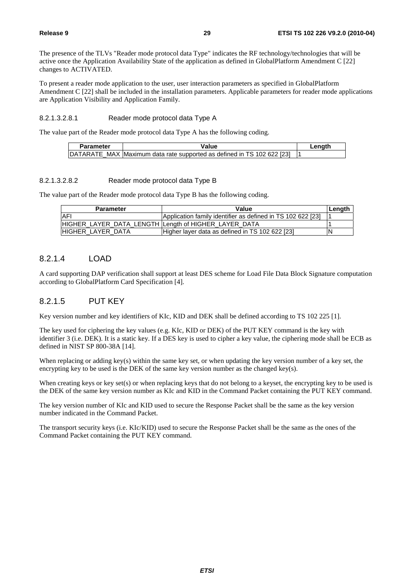The presence of the TLVs "Reader mode protocol data Type" indicates the RF technology/technologies that will be active once the Application Availability State of the application as defined in GlobalPlatform Amendment C [22] changes to ACTIVATED.

To present a reader mode application to the user, user interaction parameters as specified in GlobalPlatform Amendment C [22] shall be included in the installation parameters. Applicable parameters for reader mode applications are Application Visibility and Application Family.

#### 8.2.1.3.2.8.1 Reader mode protocol data Type A

The value part of the Reader mode protocol data Type A has the following coding.

| Parameter | <b>Value</b>                                                           | Lenath |
|-----------|------------------------------------------------------------------------|--------|
|           | DATARATE_MAX Maximum data rate supported as defined in TS 102 622 [23] |        |

#### 8.2.1.3.2.8.2 Reader mode protocol data Type B

The value part of the Reader mode protocol data Type B has the following coding.

| <b>Parameter</b>                                     | Value                                                       | Length |
|------------------------------------------------------|-------------------------------------------------------------|--------|
| AFI                                                  | Application family identifier as defined in TS 102 622 [23] |        |
| HIGHER LAYER DATA LENGTH Length of HIGHER LAYER DATA |                                                             |        |
| IHIGHER LAYER DATA                                   | Higher layer data as defined in TS 102 622 [23]             | ١N     |

#### 8.2.1.4 LOAD

A card supporting DAP verification shall support at least DES scheme for Load File Data Block Signature computation according to GlobalPlatform Card Specification [4].

#### 8.2.1.5 PUT KEY

Key version number and key identifiers of KIc, KID and DEK shall be defined according to TS 102 225 [1].

The key used for ciphering the key values (e.g. KIc, KID or DEK) of the PUT KEY command is the key with identifier 3 (i.e. DEK). It is a static key. If a DES key is used to cipher a key value, the ciphering mode shall be ECB as defined in NIST SP 800-38A [14].

When replacing or adding key(s) within the same key set, or when updating the key version number of a key set, the encrypting key to be used is the DEK of the same key version number as the changed key(s).

When creating keys or key set(s) or when replacing keys that do not belong to a keyset, the encrypting key to be used is the DEK of the same key version number as KIc and KID in the Command Packet containing the PUT KEY command.

The key version number of KIc and KID used to secure the Response Packet shall be the same as the key version number indicated in the Command Packet.

The transport security keys (i.e. KIc/KID) used to secure the Response Packet shall be the same as the ones of the Command Packet containing the PUT KEY command.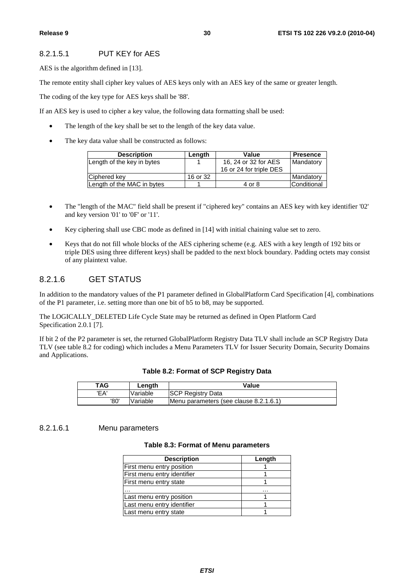#### 8.2.1.5.1 PUT KEY for AES

AES is the algorithm defined in [13].

The remote entity shall cipher key values of AES keys only with an AES key of the same or greater length.

The coding of the key type for AES keys shall be '88'.

If an AES key is used to cipher a key value, the following data formatting shall be used:

- The length of the key shall be set to the length of the key data value.
- The key data value shall be constructed as follows:

| <b>Description</b>         | Length   | Value                   | <b>Presence</b> |
|----------------------------|----------|-------------------------|-----------------|
| Length of the key in bytes |          | 16, 24 or 32 for AES    | Mandatory       |
|                            |          | 16 or 24 for triple DES |                 |
| Ciphered key               | 16 or 32 |                         | Mandatory       |
| Length of the MAC in bytes |          | 4 or 8                  | Conditional     |

- The "length of the MAC" field shall be present if "ciphered key" contains an AES key with key identifier '02' and key version '01' to '0F' or '11'.
- Key ciphering shall use CBC mode as defined in [14] with initial chaining value set to zero.
- Keys that do not fill whole blocks of the AES ciphering scheme (e.g. AES with a key length of 192 bits or triple DES using three different keys) shall be padded to the next block boundary. Padding octets may consist of any plaintext value.

#### 8.2.1.6 GET STATUS

In addition to the mandatory values of the P1 parameter defined in GlobalPlatform Card Specification [4], combinations of the P1 parameter, i.e. setting more than one bit of b5 to b8, may be supported.

The LOGICALLY\_DELETED Life Cycle State may be returned as defined in Open Platform Card Specification 2.0.1 [7].

If bit 2 of the P2 parameter is set, the returned GlobalPlatform Registry Data TLV shall include an SCP Registry Data TLV (see table 8.2 for coding) which includes a Menu Parameters TLV for Issuer Security Domain, Security Domains and Applications.

| Table 8.2: Format of SCP Registry Data |  |  |  |  |  |
|----------------------------------------|--|--|--|--|--|
|----------------------------------------|--|--|--|--|--|

| TAG  | Lenath   | Value                                  |
|------|----------|----------------------------------------|
| 'FA' | Variable | <b>SCP Registry Data</b>               |
| '80' | Variable | Menu parameters (see clause 8.2.1.6.1) |

#### 8.2.1.6.1 Menu parameters

#### **Table 8.3: Format of Menu parameters**

| <b>Description</b>          | Length |
|-----------------------------|--------|
| First menu entry position   |        |
| First menu entry identifier |        |
| First menu entry state      |        |
|                             | .      |
| Last menu entry position    |        |
| Last menu entry identifier  |        |
| Last menu entry state       |        |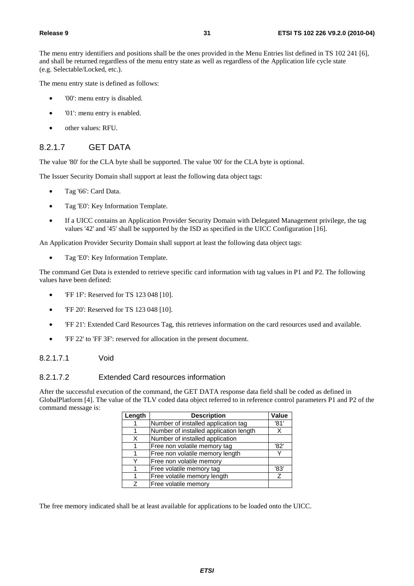The menu entry identifiers and positions shall be the ones provided in the Menu Entries list defined in TS 102 241 [6], and shall be returned regardless of the menu entry state as well as regardless of the Application life cycle state (e.g. Selectable/Locked, etc.).

The menu entry state is defined as follows:

- '00': menu entry is disabled.
- '01': menu entry is enabled.
- other values: RFU.

#### 8.2.1.7 GET DATA

The value '80' for the CLA byte shall be supported. The value '00' for the CLA byte is optional.

The Issuer Security Domain shall support at least the following data object tags:

- Tag '66': Card Data.
- Tag 'E0': Key Information Template.
- If a UICC contains an Application Provider Security Domain with Delegated Management privilege, the tag values '42' and '45' shall be supported by the ISD as specified in the UICC Configuration [16].

An Application Provider Security Domain shall support at least the following data object tags:

• Tag 'E0': Key Information Template.

The command Get Data is extended to retrieve specific card information with tag values in P1 and P2. The following values have been defined:

- 'FF 1F': Reserved for TS 123 048 [10].
- FF 20': Reserved for TS 123 048 [10].
- 'FF 21': Extended Card Resources Tag, this retrieves information on the card resources used and available.
- 'FF 22' to 'FF 3F': reserved for allocation in the present document.

#### 8.2.1.7.1 Void

#### 8.2.1.7.2 Extended Card resources information

After the successful execution of the command, the GET DATA response data field shall be coded as defined in GlobalPlatform [4]. The value of the TLV coded data object referred to in reference control parameters P1 and P2 of the command message is:

| Length | <b>Description</b>                     | <b>Value</b> |
|--------|----------------------------------------|--------------|
|        | Number of installed application tag    | '81'         |
|        | Number of installed application length |              |
| X      | Number of installed application        |              |
|        | Free non volatile memory tag           | '82'         |
|        | Free non volatile memory length        |              |
|        | Free non volatile memory               |              |
|        | Free volatile memory tag               | '83'         |
|        | Free volatile memory length            | 7            |
| 7      | Free volatile memory                   |              |

The free memory indicated shall be at least available for applications to be loaded onto the UICC.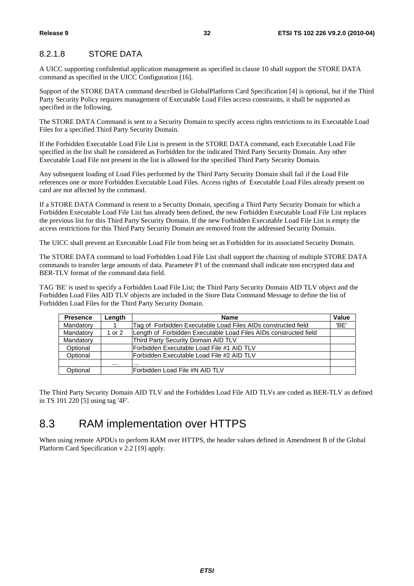#### 8.2.1.8 STORE DATA

A UICC supporting confidential application management as specified in clause 10 shall support the STORE DATA command as specified in the UICC Configuration [16].

Support of the STORE DATA command described in GlobalPlatform Card Specification [4] is optional, but if the Third Party Security Policy requires management of Executable Load Files access constraints, it shall be supported as specified in the following.

The STORE DATA Command is sent to a Security Domain to specify access rights restrictions to its Executable Load Files for a specified Third Party Security Domain.

If the Forbidden Executable Load File List is present in the STORE DATA command, each Executable Load File specified in the list shall be considered as Forbidden for the indicated Third Party Security Domain. Any other Executable Load File not present in the list is allowed for the specified Third Party Security Domain.

Any subsequent loading of Load Files performed by the Third Party Security Domain shall fail if the Load File references one or more Forbidden Executable Load Files. Access rights of Executable Load Files already present on card are not affected by the command.

If a STORE DATA Command is resent to a Security Domain, specifing a Third Party Security Domain for which a Forbidden Executable Load File List has already been defined, the new Forbidden Executable Load File List replaces the previous list for this Third Party Security Domain. If the new Forbidden Executable Load File List is empty the access restrictions for this Third Party Security Domain are removed from the addressed Security Domain.

The UICC shall prevent an Executable Load File from being set as Forbidden for its associated Security Domain.

The STORE DATA command to load Forbidden Load File List shall support the chaining of multiple STORE DATA commands to transfer large amounts of data. Parameter P1 of the command shall indicate non encrypted data and BER-TLV format of the command data field.

TAG 'BE' is used to specify a Forbidden Load File List; the Third Party Security Domain AID TLV object and the Forbidden Load Files AID TLV objects are included in the Store Data Command Message to define the list of Forbidden Load Files for the Third Party Security Domain.

| <b>Presence</b> | Length | <b>Name</b>                                                      | Value |
|-----------------|--------|------------------------------------------------------------------|-------|
| Mandatory       |        | Tag of Forbidden Executable Load Files AIDs constructed field    | 'BE'  |
| Mandatory       | 1 or 2 | Length of Forbidden Executable Load Files AIDs constructed field |       |
| Mandatory       |        | Third Party Security Domain AID TLV                              |       |
| Optional        |        | Forbidden Executable Load File #1 AID TLV                        |       |
| Optional        |        | IForbidden Executable Load File #2 AID TLV                       |       |
|                 | .      | .                                                                |       |
| Optional        |        | Forbidden Load File #N AID TLV                                   |       |

The Third Party Security Domain AID TLV and the Forbidden Load File AID TLVs are coded as BER-TLV as defined in TS 101 220 [5] using tag '4F'.

### 8.3 RAM implementation over HTTPS

When using remote APDUs to perform RAM over HTTPS, the header values defined in Amendment B of the Global Platform Card Specification v 2.2 [19] apply.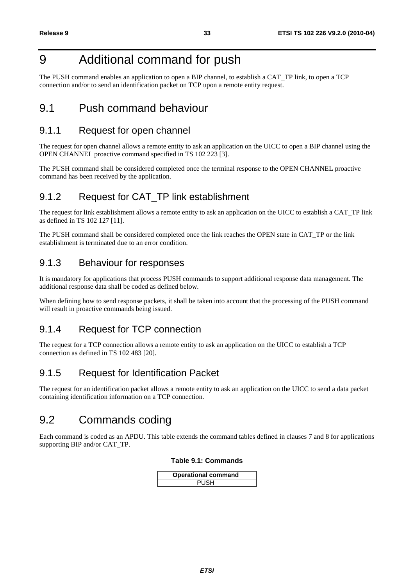### 9 Additional command for push

The PUSH command enables an application to open a BIP channel, to establish a CAT\_TP link, to open a TCP connection and/or to send an identification packet on TCP upon a remote entity request.

### 9.1 Push command behaviour

### 9.1.1 Request for open channel

The request for open channel allows a remote entity to ask an application on the UICC to open a BIP channel using the OPEN CHANNEL proactive command specified in TS 102 223 [3].

The PUSH command shall be considered completed once the terminal response to the OPEN CHANNEL proactive command has been received by the application.

### 9.1.2 Request for CAT TP link establishment

The request for link establishment allows a remote entity to ask an application on the UICC to establish a CAT\_TP link as defined in TS 102 127 [11].

The PUSH command shall be considered completed once the link reaches the OPEN state in CAT\_TP or the link establishment is terminated due to an error condition.

### 9.1.3 Behaviour for responses

It is mandatory for applications that process PUSH commands to support additional response data management. The additional response data shall be coded as defined below.

When defining how to send response packets, it shall be taken into account that the processing of the PUSH command will result in proactive commands being issued.

### 9.1.4 Request for TCP connection

The request for a TCP connection allows a remote entity to ask an application on the UICC to establish a TCP connection as defined in TS 102 483 [20].

### 9.1.5 Request for Identification Packet

The request for an identification packet allows a remote entity to ask an application on the UICC to send a data packet containing identification information on a TCP connection.

### 9.2 Commands coding

Each command is coded as an APDU. This table extends the command tables defined in clauses 7 and 8 for applications supporting BIP and/or CAT\_TP.

#### **Table 9.1: Commands**

| <b>Operational command</b> |  |
|----------------------------|--|
| <b>PUSH</b>                |  |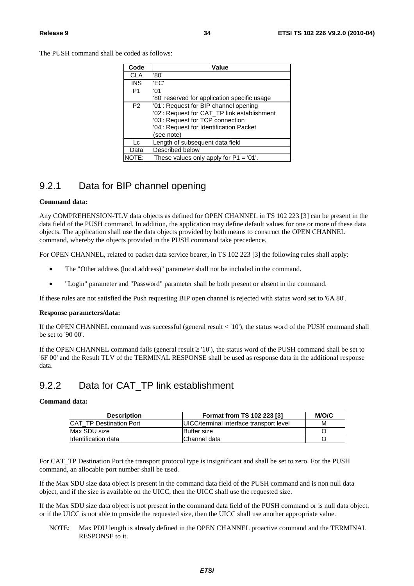The PUSH command shall be coded as follows:

| Code           | Value                                        |
|----------------|----------------------------------------------|
| <b>CLA</b>     | '80'                                         |
| <b>INS</b>     | 'FC'                                         |
| P <sub>1</sub> | '01'                                         |
|                | '80' reserved for application specific usage |
| P <sub>2</sub> | '01': Request for BIP channel opening        |
|                | '02': Request for CAT_TP link establishment  |
|                | '03': Request for TCP connection             |
|                | '04': Request for Identification Packet      |
|                | (see note)                                   |
| Lc.            | Length of subsequent data field              |
| Data           | Described below                              |
|                | These values only apply for $P1 = '01'.$     |

### 9.2.1 Data for BIP channel opening

#### **Command data:**

Any COMPREHENSION-TLV data objects as defined for OPEN CHANNEL in TS 102 223 [3] can be present in the data field of the PUSH command. In addition, the application may define default values for one or more of these data objects. The application shall use the data objects provided by both means to construct the OPEN CHANNEL command, whereby the objects provided in the PUSH command take precedence.

For OPEN CHANNEL, related to packet data service bearer, in TS 102 223 [3] the following rules shall apply:

- The "Other address (local address)" parameter shall not be included in the command.
- "Login" parameter and "Password" parameter shall be both present or absent in the command.

If these rules are not satisfied the Push requesting BIP open channel is rejected with status word set to '6A 80'.

#### **Response parameters/data:**

If the OPEN CHANNEL command was successful (general result < '10'), the status word of the PUSH command shall be set to '90 00'.

If the OPEN CHANNEL command fails (general result  $\geq$  '10'), the status word of the PUSH command shall be set to '6F 00' and the Result TLV of the TERMINAL RESPONSE shall be used as response data in the additional response data.

### 9.2.2 Data for CAT\_TP link establishment

#### **Command data:**

| <b>Description</b>              | Format from TS 102 223 [3]                      | M/O/C |
|---------------------------------|-------------------------------------------------|-------|
| <b>ICAT TP Destination Port</b> | <b>IUICC/terminal interface transport level</b> | м     |
| Max SDU size                    | <b>IBuffer</b> size                             |       |
| Ildentification data            | Channel data                                    |       |

For CAT TP Destination Port the transport protocol type is insignificant and shall be set to zero. For the PUSH command, an allocable port number shall be used.

If the Max SDU size data object is present in the command data field of the PUSH command and is non null data object, and if the size is available on the UICC, then the UICC shall use the requested size.

If the Max SDU size data object is not present in the command data field of the PUSH command or is null data object, or if the UICC is not able to provide the requested size, then the UICC shall use another appropriate value.

NOTE: Max PDU length is already defined in the OPEN CHANNEL proactive command and the TERMINAL RESPONSE to it.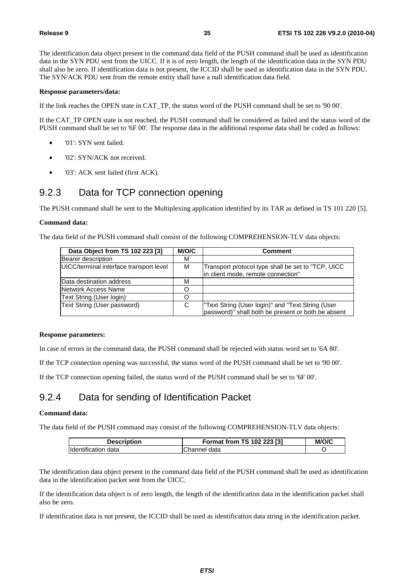The identification data object present in the command data field of the PUSH command shall be used as identification data in the SYN PDU sent from the UICC. If it is of zero length, the length of the identification data in the SYN PDU shall also be zero. If identification data is not present, the ICCID shall be used as identification data in the SYN PDU. The SYN/ACK PDU sent from the remote entity shall have a null identification data field.

#### **Response parameters/data:**

If the link reaches the OPEN state in CAT\_TP, the status word of the PUSH command shall be set to '90 00'.

If the CAT\_TP OPEN state is not reached, the PUSH command shall be considered as failed and the status word of the PUSH command shall be set to '6F 00'. The response data in the additional response data shall be coded as follows:

- '01': SYN sent failed.
- '02': SYN/ACK not received.
- '03': ACK sent failed (first ACK).

#### 9.2.3 Data for TCP connection opening

The PUSH command shall be sent to the Multiplexing application identified by its TAR as defined in TS 101 220 [5].

#### **Command data:**

The data field of the PUSH command shall consist of the following COMPREHENSION-TLV data objects:

| Data Object from TS 102 223 [3]         | M/O/C | Comment                                                                                                |
|-----------------------------------------|-------|--------------------------------------------------------------------------------------------------------|
| Bearer description                      | м     |                                                                                                        |
| UICC/terminal interface transport level | M     | Transport protocol type shall be set to "TCP, UICC<br>in client mode, remote connection"               |
| Data destination address                | м     |                                                                                                        |
| Network Access Name                     |       |                                                                                                        |
| Text String (User login)                |       |                                                                                                        |
| Text String (User password)             | C     | Text String (User login)" and "Text String (User<br>password)" shall both be present or both be absent |

#### **Response parameters:**

In case of errors in the command data, the PUSH command shall be rejected with status word set to '6A 80'.

If the TCP connection opening was successful, the status word of the PUSH command shall be set to '90 00'.

If the TCP connection opening failed, the status word of the PUSH command shall be set to '6F 00'.

### 9.2.4 Data for sending of Identification Packet

#### **Command data:**

The data field of the PUSH command may consist of the following COMPREHENSION-TLV data objects:

| <b>Description</b>  | Format from TS 102 223 [3] | M/O/C |
|---------------------|----------------------------|-------|
| Identification data | Channel data               |       |

The identification data object present in the command data field of the PUSH command shall be used as identification data in the identification packet sent from the UICC.

If the identification data object is of zero length, the length of the identification data in the identification packet shall also be zero.

If identification data is not present, the ICCID shall be used as identification data string in the identification packet.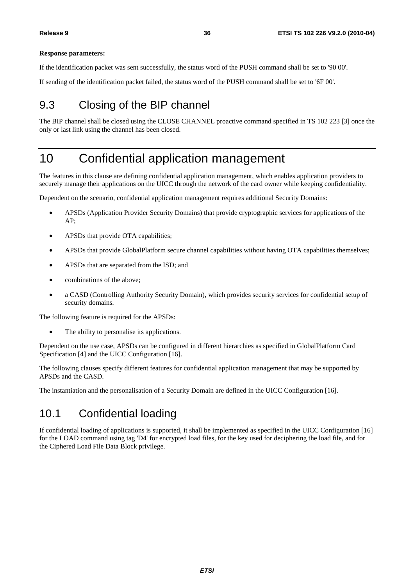#### **Response parameters:**

If the identification packet was sent successfully, the status word of the PUSH command shall be set to '90 00'.

If sending of the identification packet failed, the status word of the PUSH command shall be set to '6F 00'.

### 9.3 Closing of the BIP channel

The BIP channel shall be closed using the CLOSE CHANNEL proactive command specified in TS 102 223 [3] once the only or last link using the channel has been closed.

### 10 Confidential application management

The features in this clause are defining confidential application management, which enables application providers to securely manage their applications on the UICC through the network of the card owner while keeping confidentiality.

Dependent on the scenario, confidential application management requires additional Security Domains:

- APSDs (Application Provider Security Domains) that provide cryptographic services for applications of the AP;
- APSDs that provide OTA capabilities;
- APSDs that provide GlobalPlatform secure channel capabilities without having OTA capabilities themselves:
- APSDs that are separated from the ISD; and
- combinations of the above;
- a CASD (Controlling Authority Security Domain), which provides security services for confidential setup of security domains.

The following feature is required for the APSDs:

The ability to personalise its applications.

Dependent on the use case, APSDs can be configured in different hierarchies as specified in GlobalPlatform Card Specification [4] and the UICC Configuration [16].

The following clauses specify different features for confidential application management that may be supported by APSDs and the CASD.

The instantiation and the personalisation of a Security Domain are defined in the UICC Configuration [16].

### 10.1 Confidential loading

If confidential loading of applications is supported, it shall be implemented as specified in the UICC Configuration [16] for the LOAD command using tag 'D4' for encrypted load files, for the key used for deciphering the load file, and for the Ciphered Load File Data Block privilege.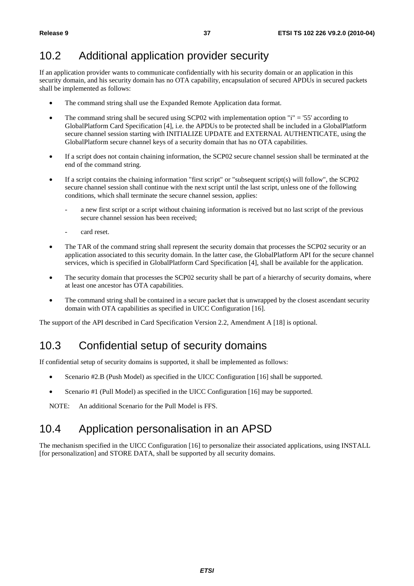### 10.2 Additional application provider security

If an application provider wants to communicate confidentially with his security domain or an application in this security domain, and his security domain has no OTA capability, encapsulation of secured APDUs in secured packets shall be implemented as follows:

- The command string shall use the Expanded Remote Application data format.
- The command string shall be secured using SCP02 with implementation option "i" = '55' according to GlobalPlatform Card Specification [4], i.e. the APDUs to be protected shall be included in a GlobalPlatform secure channel session starting with INITIALIZE UPDATE and EXTERNAL AUTHENTICATE, using the GlobalPlatform secure channel keys of a security domain that has no OTA capabilities.
- If a script does not contain chaining information, the SCP02 secure channel session shall be terminated at the end of the command string.
- If a script contains the chaining information "first script" or "subsequent script(s) will follow", the SCP02 secure channel session shall continue with the next script until the last script, unless one of the following conditions, which shall terminate the secure channel session, applies:
	- a new first script or a script without chaining information is received but no last script of the previous secure channel session has been received;
	- card reset.
- The TAR of the command string shall represent the security domain that processes the SCP02 security or an application associated to this security domain. In the latter case, the GlobalPlatform API for the secure channel services, which is specified in GlobalPlatform Card Specification [4], shall be available for the application.
- The security domain that processes the SCP02 security shall be part of a hierarchy of security domains, where at least one ancestor has OTA capabilities.
- The command string shall be contained in a secure packet that is unwrapped by the closest ascendant security domain with OTA capabilities as specified in UICC Configuration [16].

The support of the API described in Card Specification Version 2.2, Amendment A [18] is optional.

### 10.3 Confidential setup of security domains

If confidential setup of security domains is supported, it shall be implemented as follows:

- Scenario #2.B (Push Model) as specified in the UICC Configuration [16] shall be supported.
- Scenario #1 (Pull Model) as specified in the UICC Configuration [16] may be supported.

NOTE: An additional Scenario for the Pull Model is FFS.

### 10.4 Application personalisation in an APSD

The mechanism specified in the UICC Configuration [16] to personalize their associated applications, using INSTALL [for personalization] and STORE DATA, shall be supported by all security domains.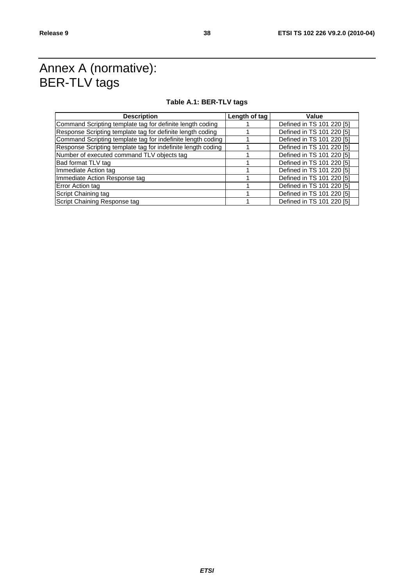### Annex A (normative): BER-TLV tags

#### **Table A.1: BER-TLV tags**

| <b>Description</b>                                           | Length of tag | Value                     |
|--------------------------------------------------------------|---------------|---------------------------|
| Command Scripting template tag for definite length coding    |               | Defined in TS 101 220 [5] |
| Response Scripting template tag for definite length coding   |               | Defined in TS 101 220 [5] |
| Command Scripting template tag for indefinite length coding  |               | Defined in TS 101 220 [5] |
| Response Scripting template tag for indefinite length coding |               | Defined in TS 101 220 [5] |
| Number of executed command TLV objects tag                   |               | Defined in TS 101 220 [5] |
| Bad format TLV tag                                           |               | Defined in TS 101 220 [5] |
| Immediate Action tag                                         |               | Defined in TS 101 220 [5] |
| Immediate Action Response tag                                |               | Defined in TS 101 220 [5] |
| Error Action tag                                             |               | Defined in TS 101 220 [5] |
| Script Chaining tag                                          |               | Defined in TS 101 220 [5] |
| Script Chaining Response tag                                 |               | Defined in TS 101 220 [5] |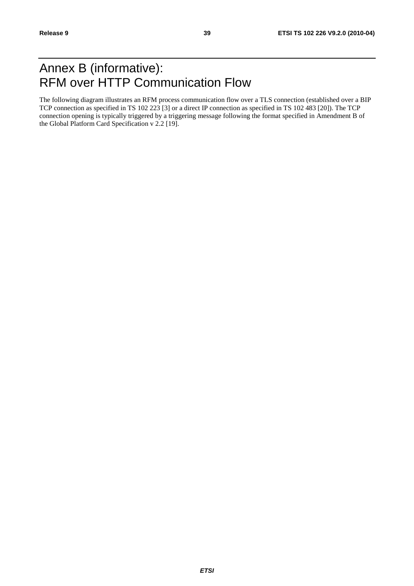### Annex B (informative): RFM over HTTP Communication Flow

The following diagram illustrates an RFM process communication flow over a TLS connection (established over a BIP TCP connection as specified in TS 102 223 [3] or a direct IP connection as specified in TS 102 483 [20]). The TCP connection opening is typically triggered by a triggering message following the format specified in Amendment B of the Global Platform Card Specification v 2.2 [19].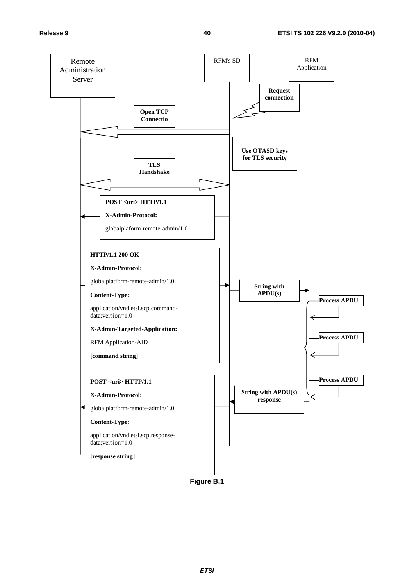

**Figure B.1**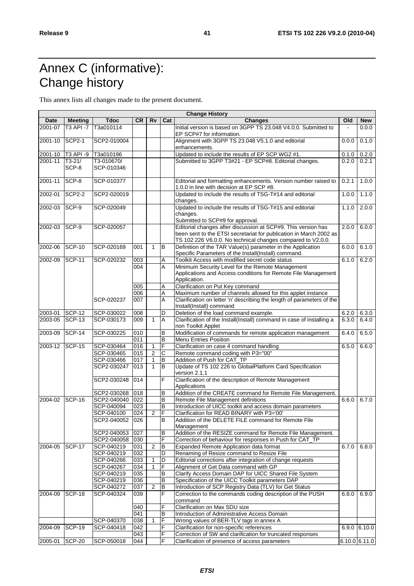## Annex C (informative): Change history

This annex lists all changes made to the present document.

| <b>Change History</b> |                |                 |           |                |     |                                                                                                                                   |       |                 |
|-----------------------|----------------|-----------------|-----------|----------------|-----|-----------------------------------------------------------------------------------------------------------------------------------|-------|-----------------|
| Date                  | <b>Meeting</b> | <b>Tdoc</b>     | <b>CR</b> | Rv             | Cat | <b>Changes</b><br>Initial version is based on 3GPP TS 23.048 V4.0.0. Submitted to                                                 | Old   | <b>New</b>      |
| 2001-07               | T3 API -7      | T3a010114       |           |                |     | EP SCP#7 for information.                                                                                                         |       | 0.0.0           |
| 2001-10               | <b>SCP2-1</b>  | SCP2-010004     |           |                |     | Alignment with 3GPP TS 23.048 V5.1.0 and editorial<br>enhancements.                                                               | 0.0.0 | 0.1.0           |
| 2001-10               | T3 API -9      | T3a010196       |           |                |     | Updated to include the results of EP SCP WG2 #1.                                                                                  | 0.1.0 | 0.2.0           |
| 2001-11               | $T3-21/$       | T3-010670/      |           |                |     | Submitted to 3GPP T3#21 - EP SCP#8. Editorial changes.                                                                            | 0.2.0 | 0.2.1           |
|                       | SCP-8          | SCP-010346      |           |                |     |                                                                                                                                   |       |                 |
| 2001-11               | SCP-8          | SCP-010377      |           |                |     | Editorial and formatting enhancements. Version number raised to                                                                   | 0.2.1 | 1.0.0           |
| 2002-01               | <b>SCP2-2</b>  | SCP2-020019     |           |                |     | 1.0.0 in line with decision at EP SCP #8.<br>Updated to include the results of TSG-T#14 and editorial                             | 1.0.0 | 1.1.0           |
|                       |                |                 |           |                |     | changes.                                                                                                                          |       |                 |
| 2002-03               | SCP-9          | SCP-020049      |           |                |     | Updated to include the results of TSG-T#15 and editorial<br>changes.<br>Submitted to SCP#9 for approval.                          | 1.1.0 | 2.0.0           |
| 2002-03               | SCP-9          | SCP-020057      |           |                |     | Editorial changes after discussion at SCP#9. This version has                                                                     | 2.0.0 | 6.0.0           |
|                       |                |                 |           |                |     | been sent to the ETSI secretariat for publication in March 2002 as<br>TS 102 226 V6.0.0. No technical changes compared to V2.0.0. |       |                 |
| 2002-06               | SCP-10         | SCP-020169      | 001       | $\mathbf{1}$   | B   | Definition of the TAR Value(s) parameter in the Application                                                                       | 6.0.0 | 6.1.0           |
|                       |                |                 |           |                |     | Specific Parameters of the Install(Install) command.                                                                              |       |                 |
| 2002-09               | <b>SCP-11</b>  | SCP-020232      | 003       |                | Α   | Toolkit Access with modified secret code status                                                                                   | 6.1.0 | 6.2.0           |
|                       |                |                 | 004       |                | A   | Minimum Security Level for the Remote Management                                                                                  |       |                 |
|                       |                |                 |           |                |     | Applications and Access conditions for Remote File Management                                                                     |       |                 |
|                       |                |                 |           |                |     | Application.                                                                                                                      |       |                 |
|                       |                |                 | 005       |                | Α   | Clarification on Put Key command                                                                                                  |       |                 |
|                       |                |                 | 006       |                | Α   | Maximum number of channels allowed for this applet instance                                                                       |       |                 |
|                       |                | SCP-020237      | 007       |                | A   | Clarification on letter 'n' describing the length of parameters of the<br>Install(Install) command                                |       |                 |
| 2003-01               | <b>SCP-12</b>  | SCP-030022      | 008       |                | D   | Deletion of the load command example.                                                                                             | 6.2.0 | 6.3.0           |
| 2003-05               | <b>SCP-13</b>  | SCP-030173      | 009       | $\mathbf{1}$   | A   | Clarification of the Install(Install) command in case of installing a                                                             | 6.3.0 | 6.4.0           |
|                       |                |                 |           |                |     | non Toolkit Applet                                                                                                                |       |                 |
| 2003-09               | <b>SCP-14</b>  | SCP-030225      | 010       |                | В   | Modification of commands for remote application management                                                                        | 6.4.0 | 6.5.0           |
|                       |                |                 | 011       |                | B   | <b>Menu Entries Position</b>                                                                                                      |       |                 |
| 2003-12               | $SCP-15$       | SCP-030464      | 016       | 1              | F   | Clarification on case 4 command handling                                                                                          | 6.5.0 | 6.6.0           |
|                       |                | SCP-030465      | 015       | $\overline{2}$ | C   | Remote command coding with P3="00"                                                                                                |       |                 |
|                       |                | SCP-030466      | 017       | 1              | В   | Addition of Push for CAT_TP                                                                                                       |       |                 |
|                       |                | SCP2-030247     | 013       | $\mathbf{1}$   | B   | Update of TS 102 226 to GlobalPlatform Card Specification<br>version 2.1.1                                                        |       |                 |
|                       |                | SCP2-030248     | 014       |                | F   | Clarification of the description of Remote Management<br>Applications                                                             |       |                 |
|                       |                | SCP2-030268     | 018       |                | В   | Addition of the CREATE command for Remote File Management.                                                                        |       |                 |
| 2004-02               | SCP-16         | SCP2-040040     | 022       |                | В   | Remote File Management definitions                                                                                                | 6.6.0 | 6.7.0           |
|                       |                | SCP-040094      | 023       |                | В   | Introduction of UICC toolkit and access domain parameters                                                                         |       |                 |
|                       |                | SCP-040100      | 024       | $\overline{2}$ | F   | Clarification for READ BINARY with P3='00'                                                                                        |       |                 |
|                       |                | SCP2-040052     | 026       |                | В   | Addition of the DELETE FILE command for Remote File                                                                               |       |                 |
|                       |                |                 |           |                |     | Management                                                                                                                        |       |                 |
|                       |                | SCP2-040053     | 027       |                | В   | Addition of the RESIZE command for Remote File Management.                                                                        |       |                 |
|                       |                | SCP2-040058 030 |           |                | F   | Correction of behaviour for responses in Push for CAT_TP                                                                          |       |                 |
| 2004-05               | <b>SCP-17</b>  | SCP-040219      | 031       | 2              | В   | Expanded Remote Application data format                                                                                           | 6.7.0 | 6.8.0           |
|                       |                | SCP-040219      | 032       |                | D   | Renaming of Resize command to Resize File                                                                                         |       |                 |
|                       |                | SCP-040266      | 033       | 1              | D   | Editorial corrections after integration of change requests                                                                        |       |                 |
|                       |                | SCP-040267      | 034       | 1              | F   | Alignment of Get Data command with GP                                                                                             |       |                 |
|                       |                | SCP-040219      | 035       |                | В   | Clarify Access Domain DAP for UICC Shared File System                                                                             |       |                 |
|                       |                | SCP-040219      | 036       |                | B   | Specification of the UICC Toolkit parameters DAP                                                                                  |       |                 |
|                       |                | SCP-040272      | 037       | 2              | B   | Introduction of SCP Registry Data (TLV) for Get Status                                                                            |       |                 |
| 2004-09               | SCP-18         | SCP-040324      | 039       |                | F   | Correction to the commands coding description of the PUSH<br>command                                                              | 6.8.0 | 6.9.0           |
|                       |                |                 | 040       |                | F   | Clarification on Max SDU size                                                                                                     |       |                 |
|                       |                |                 | 041       |                | В   | Introduction of Administrative Access Domain                                                                                      |       |                 |
|                       |                | SCP-040370      | 038       | 1              | F   | Wrong values of BER-TLV tags in annex A                                                                                           |       |                 |
| 2004-09               | <b>SCP-19</b>  | SCP-040418      | 042       |                | F   | Clarification for non-specific references                                                                                         |       | $6.9.0$ 6.10.0  |
|                       |                |                 | 043       |                | F   | Correction of SW and clarification for truncated responses                                                                        |       |                 |
| 2005-01               | <b>SCP-20</b>  | SCP-050018      | 044       |                | F   | Clarification of presence of access parameters                                                                                    |       | $6.10.0$ 6.11.0 |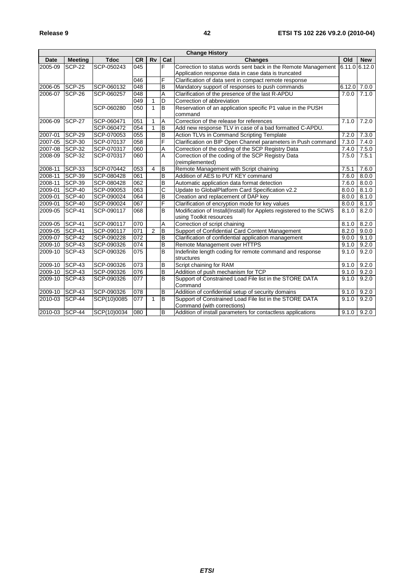| <b>Change History</b> |                |             |           |                |                         |                                                                                                |                |            |
|-----------------------|----------------|-------------|-----------|----------------|-------------------------|------------------------------------------------------------------------------------------------|----------------|------------|
| Date                  | <b>Meeting</b> | <b>Tdoc</b> | <b>CR</b> | <b>Rv</b>      | Cat                     | <b>Changes</b>                                                                                 | Old            | <b>New</b> |
| 2005-09               | <b>SCP-22</b>  | SCP-050243  | 045       |                | F                       | Correction to status words sent back in the Remote Management                                  | 6.11.0 6.12.0  |            |
|                       |                |             |           |                |                         | Application response data in case data is truncated                                            |                |            |
|                       |                |             | 046       |                | F                       | Clarification of data sent in compact remote response                                          |                |            |
| 2006-05               | <b>SCP-25</b>  | SCP-060132  | 048       |                | $\overline{B}$          | Mandatory support of responses to push commands                                                | $6.12.0$ 7.0.0 |            |
| 2006-07               | SCP-26         | SCP-060257  | 048       |                | Α                       | Clarification of the presence of the last R-APDU                                               | 7.0.0          | 7.1.0      |
|                       |                |             | 049       | 1              | D                       | Correction of abbreviation                                                                     |                |            |
|                       |                | SCP-060280  | 050       | 1              | B                       | Reservation of an application specific P1 value in the PUSH<br>command                         |                |            |
| 2006-09               | <b>SCP-27</b>  | SCP-060471  | 051       | 1              | A                       | Correction of the release for references                                                       | 7.1.0          | 7.2.0      |
|                       |                | SCP-060472  | 054       | $\mathbf{1}$   | B                       | Add new response TLV in case of a bad formatted C-APDU.                                        |                |            |
| 2007-01               | SCP-29         | SCP-070053  | 055       |                | $\overline{\mathsf{B}}$ | Action TLVs in Command Scripting Template                                                      | 7.2.0          | 7.3.0      |
| 2007-05               | SCP-30         | SCP-070137  | 058       |                | F                       | Clarification on BIP Open Channel parameters in Push command                                   | 7.3.0          | 7.4.0      |
| 2007-08               | SCP-32         | SCP-070317  | 060       |                | A                       | Correction of the coding of the SCP Registry Data                                              | 7.4.0          | 7.5.0      |
| 2008-09               | SCP-32         | SCP-070317  | 060       |                | A                       | Correction of the coding of the SCP Registry Data<br>(reimplemented)                           | 7.5.0          | 7.5.1      |
| 2008-11               | <b>SCP-33</b>  | SCP-070442  | 053       | $\overline{4}$ | B                       | Remote Management with Script chaining                                                         | 7.5.1          | 7.6.0      |
| 2008-11               | <b>SCP-39</b>  | SCP-080428  | 061       |                | B                       | Addition of AES to PUT KEY command                                                             | 7.6.0          | 8.0.0      |
| 2008-11               | <b>SCP-39</b>  | SCP-080428  | 062       |                | B                       | Automatic application data format detection                                                    | 7.6.0          | 8.0.0      |
| 2009-01               | SCP-40         | SCP-090053  | 063       |                | C                       | Update to GlobalPlatform Card Specification v2.2                                               | 8.0.0          | 8.1.0      |
| 2009-01               | SCP-40         | SCP-090024  | 064       |                | $\overline{B}$          | Creation and replacement of DAP key                                                            | 8.0.0          | 8.1.0      |
| 2009-01               | SCP-40         | SCP-090024  | 067       |                | F                       | Clarification of encryption mode for key values                                                | 8.0.0          | 8.1.0      |
| 2009-05               | SCP-41         | SCP-090117  | 068       |                | B                       | Modification of Install(Install) for Applets registered to the SCWS<br>using Toolkit resources | 8.1.0          | 8.2.0      |
| 2009-05               | SCP-41         | SCP-090117  | 070       |                | Α                       | Correction of script chaining                                                                  | 8.1.0          | 8.2.0      |
| 2009-05               | SCP-41         | SCP-090117  | 071       | $\overline{2}$ | B                       | Support of Confidential Card Content Management                                                | 8.2.0          | 9.0.0      |
| 2009-07               | SCP-42         | SCP-090228  | 072       |                | B                       | Clarification of confidential application management                                           | 9.0.0          | 9.1.0      |
| 2009-10               | SCP-43         | SCP-090326  | 074       |                | B                       | Remote Management over HTTPS                                                                   | 9.1.0          | 9.2.0      |
| 2009-10               | SCP-43         | SCP-090326  | 075       |                | В                       | Indefinite length coding for remote command and response<br>structures                         | 9.1.0          | 9.2.0      |
| 2009-10               | SCP-43         | SCP-090326  | 073       |                | B                       | Script chaining for RAM                                                                        | 9.1.0          | 9.2.0      |
| 2009-10               | <b>SCP-43</b>  | SCP-090326  | 076       |                | B                       | Addition of push mechanism for TCP                                                             | 9.1.0          | 9.2.0      |
| 2009-10               | SCP-43         | SCP-090326  | 077       |                | $\overline{B}$          | Support of Constrained Load File list in the STORE DATA<br>Command                             | 9.1.0          | 9.2.0      |
| 2009-10               | SCP-43         | SCP-090326  | 078       |                | В                       | Addition of confidential setup of security domains                                             | 9.1.0          | 9.2.0      |
| 2010-03               | SCP-44         | SCP(10)0085 | 077       | 1              | в                       | Support of Constrained Load File list in the STORE DATA<br>Command (with corrections)          | 9.1.0          | 9.2.0      |
| 2010-03               | SCP-44         | SCP(10)0034 | 080       |                | $\sf{B}$                | Addition of install parameters for contactless applications                                    | 9.1.0          | 9.2.0      |